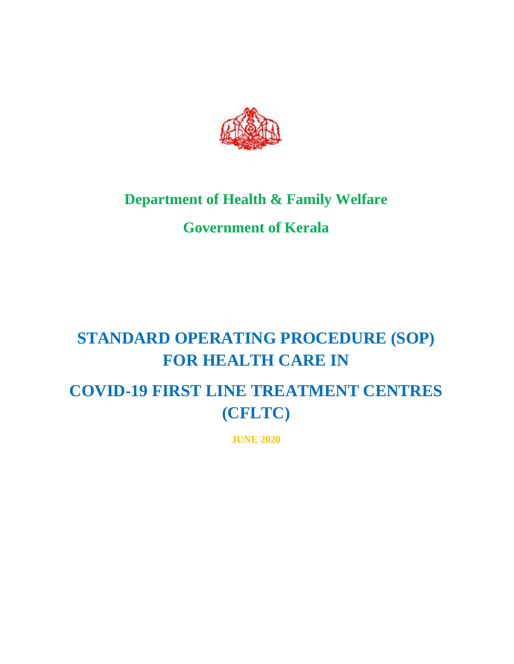

## **Department of Health & Family Welfare**

## **Government of Kerala**

# **STANDARD OPERATING PROCEDURE (SOP) FOR HEALTH CARE IN**

# **COVID-19 FIRST LINE TREATMENT CENTRES (CFLTC)**

**JUNE 2020**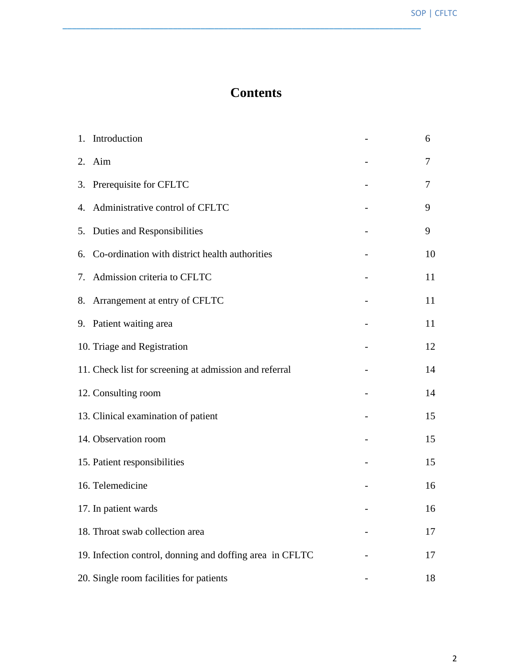## **Contents**

| 1. Introduction                                          | 6  |
|----------------------------------------------------------|----|
| 2. Aim                                                   | 7  |
| 3. Prerequisite for CFLTC                                | 7  |
| 4. Administrative control of CFLTC                       | 9  |
| 5. Duties and Responsibilities                           | 9  |
| 6. Co-ordination with district health authorities        | 10 |
| 7. Admission criteria to CFLTC                           | 11 |
| 8. Arrangement at entry of CFLTC                         | 11 |
| 9. Patient waiting area                                  | 11 |
| 10. Triage and Registration                              | 12 |
| 11. Check list for screening at admission and referral   | 14 |
| 12. Consulting room                                      | 14 |
| 13. Clinical examination of patient                      | 15 |
| 14. Observation room                                     | 15 |
| 15. Patient responsibilities                             | 15 |
| 16. Telemedicine                                         | 16 |
| 17. In patient wards                                     | 16 |
| 18. Throat swab collection area                          | 17 |
| 19. Infection control, donning and doffing area in CFLTC | 17 |
| 20. Single room facilities for patients                  | 18 |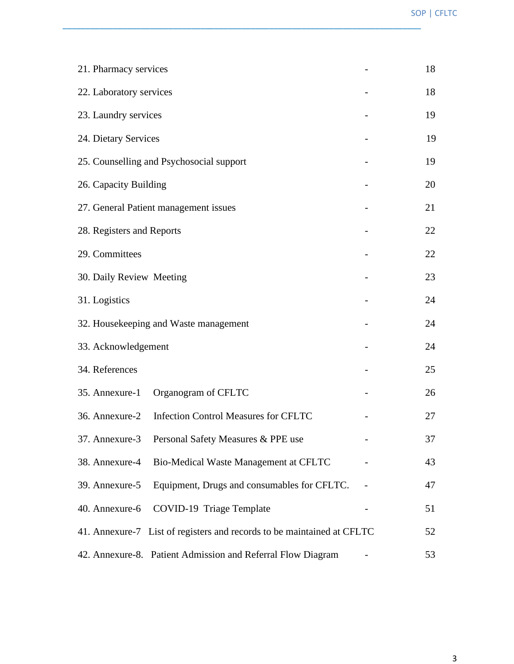| 21. Pharmacy services                 |                                                                        |    |    |  |  |
|---------------------------------------|------------------------------------------------------------------------|----|----|--|--|
| 22. Laboratory services               |                                                                        | 18 |    |  |  |
| 23. Laundry services                  |                                                                        |    | 19 |  |  |
| 24. Dietary Services                  |                                                                        |    | 19 |  |  |
|                                       | 25. Counselling and Psychosocial support                               |    | 19 |  |  |
| 26. Capacity Building                 |                                                                        |    | 20 |  |  |
|                                       | 27. General Patient management issues                                  |    | 21 |  |  |
| 28. Registers and Reports             |                                                                        |    | 22 |  |  |
| 29. Committees                        |                                                                        |    | 22 |  |  |
| 30. Daily Review Meeting              |                                                                        | 23 |    |  |  |
| 31. Logistics                         |                                                                        | 24 |    |  |  |
| 32. Housekeeping and Waste management |                                                                        |    |    |  |  |
| 33. Acknowledgement                   |                                                                        | 24 |    |  |  |
| 34. References                        |                                                                        |    | 25 |  |  |
|                                       | 35. Annexure-1 Organogram of CFLTC                                     |    | 26 |  |  |
|                                       | 36. Annexure-2 Infection Control Measures for CFLTC                    |    | 27 |  |  |
| 37. Annexure-3                        | Personal Safety Measures & PPE use                                     |    | 37 |  |  |
| 38. Annexure-4                        | Bio-Medical Waste Management at CFLTC                                  |    | 43 |  |  |
| 39. Annexure-5                        | Equipment, Drugs and consumables for CFLTC.                            |    | 47 |  |  |
| 40. Annexure-6                        | COVID-19 Triage Template                                               |    | 51 |  |  |
|                                       | 41. Annexure-7 List of registers and records to be maintained at CFLTC |    |    |  |  |
|                                       | 42. Annexure-8. Patient Admission and Referral Flow Diagram            |    | 53 |  |  |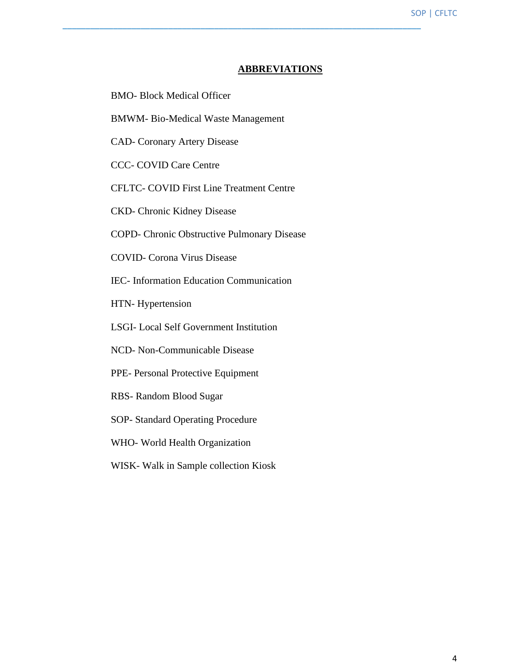#### **ABBREVIATIONS**

- BMO- Block Medical Officer
- BMWM- Bio-Medical Waste Management
- CAD- Coronary Artery Disease
- CCC- COVID Care Centre
- CFLTC- COVID First Line Treatment Centre
- CKD- Chronic Kidney Disease
- COPD- Chronic Obstructive Pulmonary Disease
- COVID- Corona Virus Disease
- IEC- Information Education Communication
- HTN- Hypertension
- LSGI- Local Self Government Institution
- NCD- Non-Communicable Disease
- PPE- Personal Protective Equipment
- RBS- Random Blood Sugar
- SOP- Standard Operating Procedure
- WHO- World Health Organization
- WISK- Walk in Sample collection Kiosk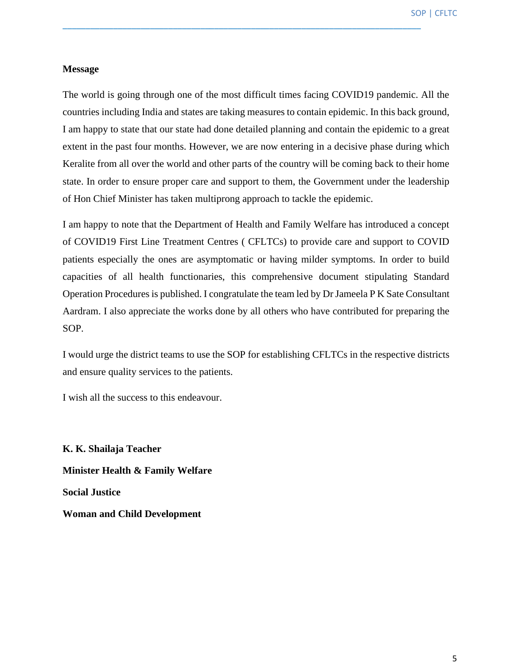#### **Message**

The world is going through one of the most difficult times facing COVID19 pandemic. All the countries including India and states are taking measures to contain epidemic. In this back ground, I am happy to state that our state had done detailed planning and contain the epidemic to a great extent in the past four months. However, we are now entering in a decisive phase during which Keralite from all over the world and other parts of the country will be coming back to their home state. In order to ensure proper care and support to them, the Government under the leadership of Hon Chief Minister has taken multiprong approach to tackle the epidemic.

\_\_\_\_\_\_\_\_\_\_\_\_\_\_\_\_\_\_\_\_\_\_\_\_\_\_\_\_\_\_\_\_\_\_\_\_\_\_\_\_\_\_\_\_\_\_\_\_\_\_\_\_\_\_\_\_\_\_\_\_\_\_\_\_\_\_\_\_\_\_\_\_\_\_\_\_\_\_

I am happy to note that the Department of Health and Family Welfare has introduced a concept of COVID19 First Line Treatment Centres ( CFLTCs) to provide care and support to COVID patients especially the ones are asymptomatic or having milder symptoms. In order to build capacities of all health functionaries, this comprehensive document stipulating Standard Operation Procedures is published. I congratulate the team led by Dr Jameela P K Sate Consultant Aardram. I also appreciate the works done by all others who have contributed for preparing the SOP.

I would urge the district teams to use the SOP for establishing CFLTCs in the respective districts and ensure quality services to the patients.

I wish all the success to this endeavour.

**K. K. Shailaja Teacher Minister Health & Family Welfare Social Justice Woman and Child Development**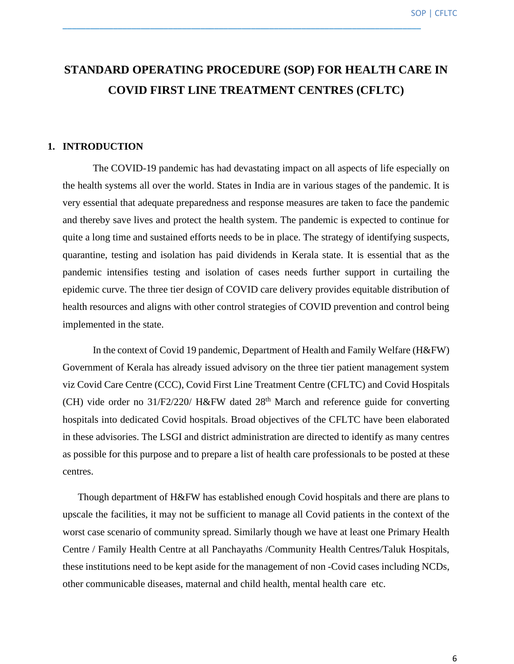## **STANDARD OPERATING PROCEDURE (SOP) FOR HEALTH CARE IN COVID FIRST LINE TREATMENT CENTRES (CFLTC)**

\_\_\_\_\_\_\_\_\_\_\_\_\_\_\_\_\_\_\_\_\_\_\_\_\_\_\_\_\_\_\_\_\_\_\_\_\_\_\_\_\_\_\_\_\_\_\_\_\_\_\_\_\_\_\_\_\_\_\_\_\_\_\_\_\_\_\_\_\_\_\_\_\_\_\_\_\_\_

#### **1. INTRODUCTION**

The COVID-19 pandemic has had devastating impact on all aspects of life especially on the health systems all over the world. States in India are in various stages of the pandemic. It is very essential that adequate preparedness and response measures are taken to face the pandemic and thereby save lives and protect the health system. The pandemic is expected to continue for quite a long time and sustained efforts needs to be in place. The strategy of identifying suspects, quarantine, testing and isolation has paid dividends in Kerala state. It is essential that as the pandemic intensifies testing and isolation of cases needs further support in curtailing the epidemic curve. The three tier design of COVID care delivery provides equitable distribution of health resources and aligns with other control strategies of COVID prevention and control being implemented in the state.

In the context of Covid 19 pandemic, Department of Health and Family Welfare (H&FW) Government of Kerala has already issued advisory on the three tier patient management system viz Covid Care Centre (CCC), Covid First Line Treatment Centre (CFLTC) and Covid Hospitals (CH) vide order no  $31/F2/220/$  H&FW dated  $28<sup>th</sup>$  March and reference guide for converting hospitals into dedicated Covid hospitals. Broad objectives of the CFLTC have been elaborated in these advisories. The LSGI and district administration are directed to identify as many centres as possible for this purpose and to prepare a list of health care professionals to be posted at these centres.

Though department of H&FW has established enough Covid hospitals and there are plans to upscale the facilities, it may not be sufficient to manage all Covid patients in the context of the worst case scenario of community spread. Similarly though we have at least one Primary Health Centre / Family Health Centre at all Panchayaths /Community Health Centres/Taluk Hospitals, these institutions need to be kept aside for the management of non -Covid cases including NCDs, other communicable diseases, maternal and child health, mental health care etc.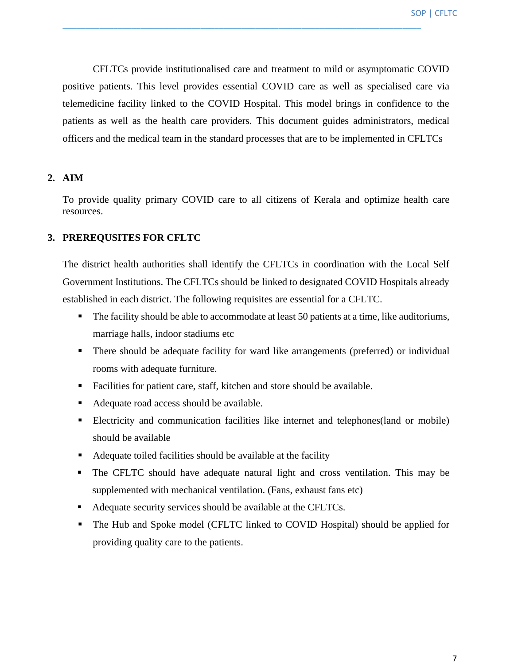CFLTCs provide institutionalised care and treatment to mild or asymptomatic COVID positive patients. This level provides essential COVID care as well as specialised care via telemedicine facility linked to the COVID Hospital. This model brings in confidence to the patients as well as the health care providers. This document guides administrators, medical officers and the medical team in the standard processes that are to be implemented in CFLTCs

\_\_\_\_\_\_\_\_\_\_\_\_\_\_\_\_\_\_\_\_\_\_\_\_\_\_\_\_\_\_\_\_\_\_\_\_\_\_\_\_\_\_\_\_\_\_\_\_\_\_\_\_\_\_\_\_\_\_\_\_\_\_\_\_\_\_\_\_\_\_\_\_\_\_\_\_\_\_

#### **2. AIM**

To provide quality primary COVID care to all citizens of Kerala and optimize health care resources.

#### **3. PREREQUSITES FOR CFLTC**

The district health authorities shall identify the CFLTCs in coordination with the Local Self Government Institutions. The CFLTCs should be linked to designated COVID Hospitals already established in each district. The following requisites are essential for a CFLTC.

- The facility should be able to accommodate at least 50 patients at a time, like auditoriums, marriage halls, indoor stadiums etc
- **•** There should be adequate facility for ward like arrangements (preferred) or individual rooms with adequate furniture.
- Facilities for patient care, staff, kitchen and store should be available.
- Adequate road access should be available.
- **Electricity and communication facilities like internet and telephones(land or mobile)** should be available
- Adequate toiled facilities should be available at the facility
- The CFLTC should have adequate natural light and cross ventilation. This may be supplemented with mechanical ventilation. (Fans, exhaust fans etc)
- Adequate security services should be available at the CFLTCs.
- The Hub and Spoke model (CFLTC linked to COVID Hospital) should be applied for providing quality care to the patients.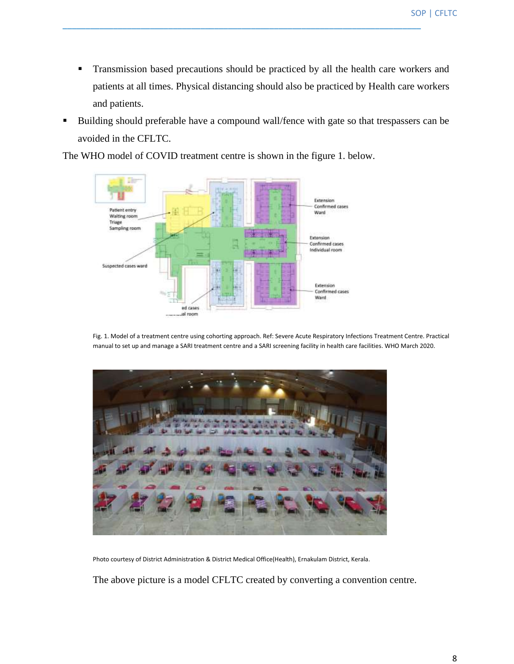**•** Transmission based precautions should be practiced by all the health care workers and patients at all times. Physical distancing should also be practiced by Health care workers and patients.

\_\_\_\_\_\_\_\_\_\_\_\_\_\_\_\_\_\_\_\_\_\_\_\_\_\_\_\_\_\_\_\_\_\_\_\_\_\_\_\_\_\_\_\_\_\_\_\_\_\_\_\_\_\_\_\_\_\_\_\_\_\_\_\_\_\_\_\_\_\_\_\_\_\_\_\_\_\_

■ Building should preferable have a compound wall/fence with gate so that trespassers can be avoided in the CFLTC.

The WHO model of COVID treatment centre is shown in the figure 1. below.



Fig. 1. Model of a treatment centre using cohorting approach. Ref: Severe Acute Respiratory Infections Treatment Centre. Practical manual to set up and manage a SARI treatment centre and a SARI screening facility in health care facilities. WHO March 2020.



Photo courtesy of District Administration & District Medical Office(Health), Ernakulam District, Kerala.

The above picture is a model CFLTC created by converting a convention centre.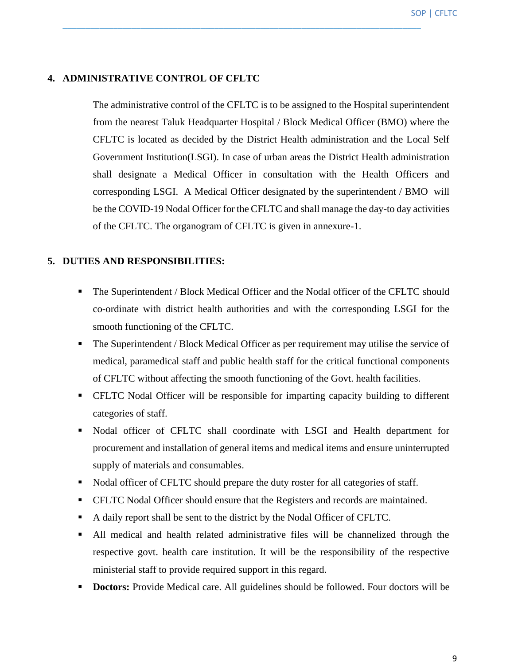#### **4. ADMINISTRATIVE CONTROL OF CFLTC**

The administrative control of the CFLTC is to be assigned to the Hospital superintendent from the nearest Taluk Headquarter Hospital / Block Medical Officer (BMO) where the CFLTC is located as decided by the District Health administration and the Local Self Government Institution(LSGI). In case of urban areas the District Health administration shall designate a Medical Officer in consultation with the Health Officers and corresponding LSGI. A Medical Officer designated by the superintendent / BMO will be the COVID-19 Nodal Officer for the CFLTC and shall manage the day-to day activities of the CFLTC. The organogram of CFLTC is given in annexure-1.

\_\_\_\_\_\_\_\_\_\_\_\_\_\_\_\_\_\_\_\_\_\_\_\_\_\_\_\_\_\_\_\_\_\_\_\_\_\_\_\_\_\_\_\_\_\_\_\_\_\_\_\_\_\_\_\_\_\_\_\_\_\_\_\_\_\_\_\_\_\_\_\_\_\_\_\_\_\_

#### **5. DUTIES AND RESPONSIBILITIES:**

- The Superintendent / Block Medical Officer and the Nodal officer of the CFLTC should co-ordinate with district health authorities and with the corresponding LSGI for the smooth functioning of the CFLTC.
- The Superintendent / Block Medical Officer as per requirement may utilise the service of medical, paramedical staff and public health staff for the critical functional components of CFLTC without affecting the smooth functioning of the Govt. health facilities.
- CFLTC Nodal Officer will be responsible for imparting capacity building to different categories of staff.
- Nodal officer of CFLTC shall coordinate with LSGI and Health department for procurement and installation of general items and medical items and ensure uninterrupted supply of materials and consumables.
- Nodal officer of CFLTC should prepare the duty roster for all categories of staff.
- CFLTC Nodal Officer should ensure that the Registers and records are maintained.
- A daily report shall be sent to the district by the Nodal Officer of CFLTC.
- All medical and health related administrative files will be channelized through the respective govt. health care institution. It will be the responsibility of the respective ministerial staff to provide required support in this regard.
- **Doctors:** Provide Medical care. All guidelines should be followed. Four doctors will be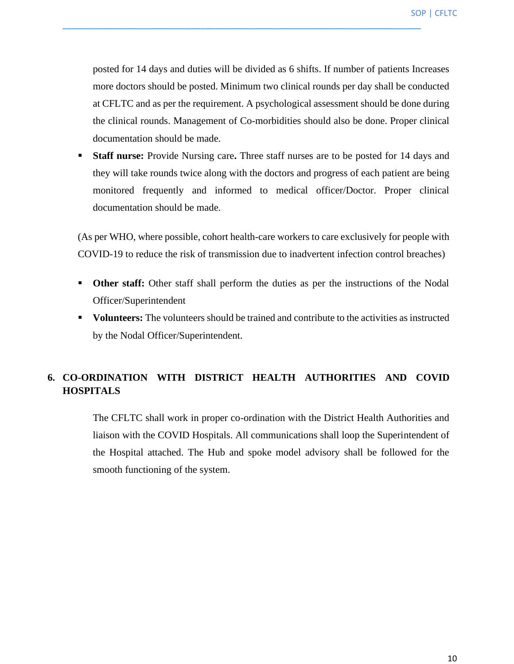posted for 14 days and duties will be divided as 6 shifts. If number of patients Increases more doctors should be posted. Minimum two clinical rounds per day shall be conducted at CFLTC and as per the requirement. A psychological assessment should be done during the clinical rounds. Management of Co-morbidities should also be done. Proper clinical documentation should be made.

\_\_\_\_\_\_\_\_\_\_\_\_\_\_\_\_\_\_\_\_\_\_\_\_\_\_\_\_\_\_\_\_\_\_\_\_\_\_\_\_\_\_\_\_\_\_\_\_\_\_\_\_\_\_\_\_\_\_\_\_\_\_\_\_\_\_\_\_\_\_\_\_\_\_\_\_\_\_

**EXECUTE: Staff nurse:** Provide Nursing care. Three staff nurses are to be posted for 14 days and they will take rounds twice along with the doctors and progress of each patient are being monitored frequently and informed to medical officer/Doctor. Proper clinical documentation should be made.

(As per WHO, where possible, cohort health-care workers to care exclusively for people with COVID-19 to reduce the risk of transmission due to inadvertent infection control breaches)

- **Other staff:** Other staff shall perform the duties as per the instructions of the Nodal Officer/Superintendent
- **Volunteers:** The volunteers should be trained and contribute to the activities as instructed by the Nodal Officer/Superintendent.

#### **6. CO-ORDINATION WITH DISTRICT HEALTH AUTHORITIES AND COVID HOSPITALS**

The CFLTC shall work in proper co-ordination with the District Health Authorities and liaison with the COVID Hospitals. All communications shall loop the Superintendent of the Hospital attached. The Hub and spoke model advisory shall be followed for the smooth functioning of the system.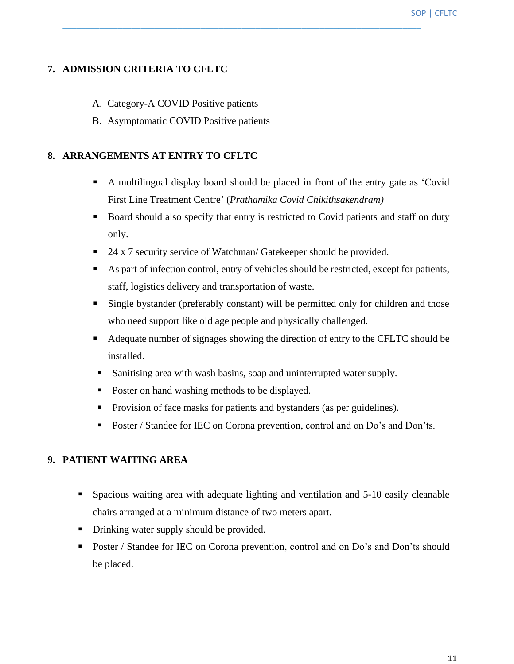#### **7. ADMISSION CRITERIA TO CFLTC**

- A. Category-A COVID Positive patients
- B. Asymptomatic COVID Positive patients

#### **8. ARRANGEMENTS AT ENTRY TO CFLTC**

- A multilingual display board should be placed in front of the entry gate as 'Covid First Line Treatment Centre' (*Prathamika Covid Chikithsakendram)*
- Board should also specify that entry is restricted to Covid patients and staff on duty only.
- 24 x 7 security service of Watchman/ Gatekeeper should be provided.

\_\_\_\_\_\_\_\_\_\_\_\_\_\_\_\_\_\_\_\_\_\_\_\_\_\_\_\_\_\_\_\_\_\_\_\_\_\_\_\_\_\_\_\_\_\_\_\_\_\_\_\_\_\_\_\_\_\_\_\_\_\_\_\_\_\_\_\_\_\_\_\_\_\_\_\_\_\_

- As part of infection control, entry of vehicles should be restricted, except for patients, staff, logistics delivery and transportation of waste.
- Single bystander (preferably constant) will be permitted only for children and those who need support like old age people and physically challenged.
- Adequate number of signages showing the direction of entry to the CFLTC should be installed.
- Sanitising area with wash basins, soap and uninterrupted water supply.
- Poster on hand washing methods to be displayed.
- Provision of face masks for patients and bystanders (as per guidelines).
- Poster / Standee for IEC on Corona prevention, control and on Do's and Don'ts.

#### **9. PATIENT WAITING AREA**

- **•** Spacious waiting area with adequate lighting and ventilation and 5-10 easily cleanable chairs arranged at a minimum distance of two meters apart.
- Drinking water supply should be provided.
- Poster / Standee for IEC on Corona prevention, control and on Do's and Don'ts should be placed.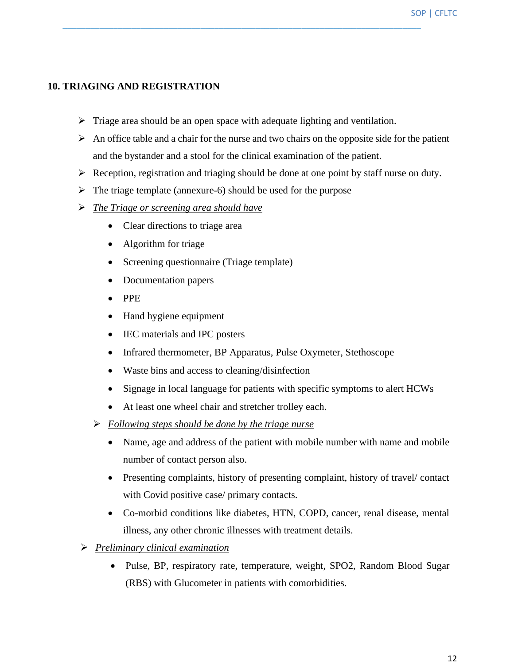#### **10. TRIAGING AND REGISTRATION**

 $\triangleright$  Triage area should be an open space with adequate lighting and ventilation.

- $\triangleright$  An office table and a chair for the nurse and two chairs on the opposite side for the patient and the bystander and a stool for the clinical examination of the patient.
- $\triangleright$  Reception, registration and triaging should be done at one point by staff nurse on duty.
- $\triangleright$  The triage template (annexure-6) should be used for the purpose
- ➢ *The Triage or screening area should have* 
	- Clear directions to triage area
	- Algorithm for triage
	- Screening questionnaire (Triage template)
	- Documentation papers
	- PPE
	- Hand hygiene equipment
	- IEC materials and IPC posters
	- Infrared thermometer, BP Apparatus, Pulse Oxymeter, Stethoscope
	- Waste bins and access to cleaning/disinfection
	- Signage in local language for patients with specific symptoms to alert HCWs
	- At least one wheel chair and stretcher trolley each.
	- ➢ *Following steps should be done by the triage nurse* 
		- Name, age and address of the patient with mobile number with name and mobile number of contact person also.
		- Presenting complaints, history of presenting complaint, history of travel/ contact with Covid positive case/ primary contacts.
		- Co-morbid conditions like diabetes, HTN, COPD, cancer, renal disease, mental illness, any other chronic illnesses with treatment details.
- ➢ *Preliminary clinical examination*
	- Pulse, BP, respiratory rate, temperature, weight, SPO2, Random Blood Sugar (RBS) with Glucometer in patients with comorbidities.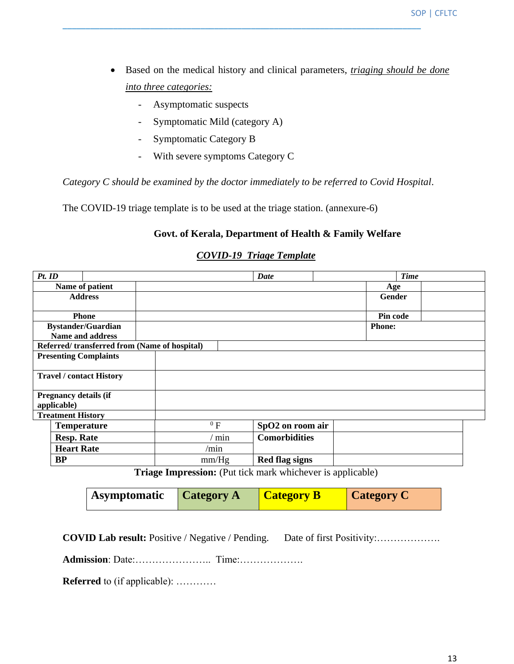- Based on the medical history and clinical parameters, *triaging should be done into three categories:*
	- Asymptomatic suspects
	- Symptomatic Mild (category A)
	- Symptomatic Category B
	- With severe symptoms Category C

*Category C should be examined by the doctor immediately to be referred to Covid Hospital*.

\_\_\_\_\_\_\_\_\_\_\_\_\_\_\_\_\_\_\_\_\_\_\_\_\_\_\_\_\_\_\_\_\_\_\_\_\_\_\_\_\_\_\_\_\_\_\_\_\_\_\_\_\_\_\_\_\_\_\_\_\_\_\_\_\_\_\_\_\_\_\_\_\_\_\_\_\_\_

The COVID-19 triage template is to be used at the triage station. (annexure-6)

#### **Govt. of Kerala, Department of Health & Family Welfare**

| Pt. ID                                       |                           |        |              | Date                 |               | <b>Time</b> |  |
|----------------------------------------------|---------------------------|--------|--------------|----------------------|---------------|-------------|--|
| Name of patient                              |                           |        |              |                      | Age           |             |  |
|                                              | <b>Address</b>            |        |              |                      | Gender        |             |  |
|                                              |                           |        |              |                      |               |             |  |
|                                              | <b>Phone</b>              |        |              |                      | Pin code      |             |  |
|                                              | <b>Bystander/Guardian</b> |        |              |                      | <b>Phone:</b> |             |  |
|                                              | <b>Name and address</b>   |        |              |                      |               |             |  |
| Referred/transferred from (Name of hospital) |                           |        |              |                      |               |             |  |
| <b>Presenting Complaints</b>                 |                           |        |              |                      |               |             |  |
|                                              |                           |        |              |                      |               |             |  |
| <b>Travel / contact History</b>              |                           |        |              |                      |               |             |  |
|                                              |                           |        |              |                      |               |             |  |
| <b>Pregnancy details (if</b>                 |                           |        |              |                      |               |             |  |
| applicable)                                  |                           |        |              |                      |               |             |  |
| <b>Treatment History</b>                     |                           |        |              |                      |               |             |  |
| <b>Temperature</b>                           |                           | $^0$ F |              | SpO2 on room air     |               |             |  |
| <b>Resp. Rate</b>                            |                           |        | $\prime$ min | <b>Comorbidities</b> |               |             |  |
| <b>Heart Rate</b>                            |                           | /min   |              |                      |               |             |  |
| <b>BP</b>                                    |                           | mm/Hg  |              | Red flag signs       |               |             |  |

#### *COVID-19 Triage Template*

**Triage Impression:** (Put tick mark whichever is applicable)

| Asymptomatic | <b>Category A</b> | <b>Category B</b> | <b>Category C</b> |
|--------------|-------------------|-------------------|-------------------|
|--------------|-------------------|-------------------|-------------------|

**COVID Lab result:** Positive / Negative / Pending. Date of first Positivity:……………….

**Admission**: Date:………………….. Time:……………….

**Referred** to (if applicable): …………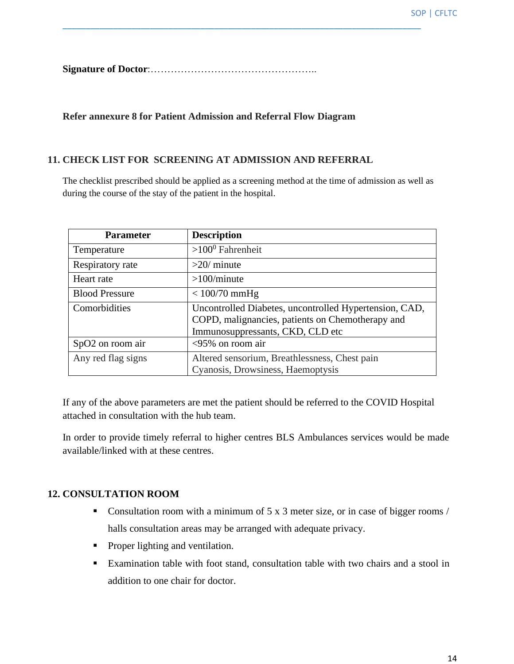**Signature of Doctor**:…………………………………………..

#### **Refer annexure 8 for Patient Admission and Referral Flow Diagram**

#### **11. CHECK LIST FOR SCREENING AT ADMISSION AND REFERRAL**

The checklist prescribed should be applied as a screening method at the time of admission as well as during the course of the stay of the patient in the hospital.

\_\_\_\_\_\_\_\_\_\_\_\_\_\_\_\_\_\_\_\_\_\_\_\_\_\_\_\_\_\_\_\_\_\_\_\_\_\_\_\_\_\_\_\_\_\_\_\_\_\_\_\_\_\_\_\_\_\_\_\_\_\_\_\_\_\_\_\_\_\_\_\_\_\_\_\_\_\_

| <b>Parameter</b>             | <b>Description</b>                                                                                                                             |
|------------------------------|------------------------------------------------------------------------------------------------------------------------------------------------|
| Temperature                  | $>100^0$ Fahrenheit                                                                                                                            |
| Respiratory rate             | $>20$ / minute                                                                                                                                 |
| Heart rate                   | $>100$ /minute                                                                                                                                 |
| <b>Blood Pressure</b>        | $< 100/70$ mmHg                                                                                                                                |
| Comorbidities                | Uncontrolled Diabetes, uncontrolled Hypertension, CAD,<br>COPD, malignancies, patients on Chemotherapy and<br>Immunosuppressants, CKD, CLD etc |
| SpO <sub>2</sub> on room air | $\langle 95\%$ on room air                                                                                                                     |
| Any red flag signs           | Altered sensorium, Breathlessness, Chest pain<br>Cyanosis, Drowsiness, Haemoptysis                                                             |

If any of the above parameters are met the patient should be referred to the COVID Hospital attached in consultation with the hub team.

In order to provide timely referral to higher centres BLS Ambulances services would be made available/linked with at these centres.

#### **12. CONSULTATION ROOM**

- Consultation room with a minimum of 5 x 3 meter size, or in case of bigger rooms / halls consultation areas may be arranged with adequate privacy.
- Proper lighting and ventilation.
- Examination table with foot stand, consultation table with two chairs and a stool in addition to one chair for doctor.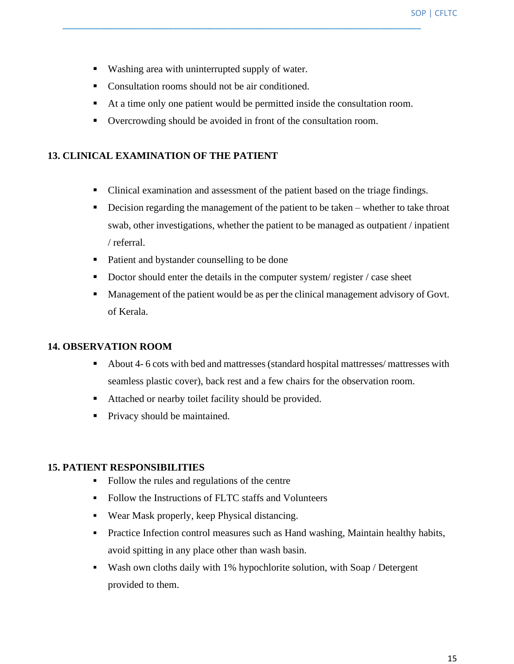- Washing area with uninterrupted supply of water.
- Consultation rooms should not be air conditioned.
- At a time only one patient would be permitted inside the consultation room.
- Overcrowding should be avoided in front of the consultation room.

#### **13. CLINICAL EXAMINATION OF THE PATIENT**

- Clinical examination and assessment of the patient based on the triage findings.
- **•** Decision regarding the management of the patient to be taken whether to take throat swab, other investigations, whether the patient to be managed as outpatient / inpatient / referral.
- Patient and bystander counselling to be done
- Doctor should enter the details in the computer system/ register / case sheet
- Management of the patient would be as per the clinical management advisory of Govt. of Kerala.

#### **14. OBSERVATION ROOM**

- About 4- 6 cots with bed and mattresses (standard hospital mattresses/ mattresses with seamless plastic cover), back rest and a few chairs for the observation room.
- Attached or nearby toilet facility should be provided.
- Privacy should be maintained.

#### **15. PATIENT RESPONSIBILITIES**

- Follow the rules and regulations of the centre
- Follow the Instructions of FLTC staffs and Volunteers
- Wear Mask properly, keep Physical distancing.
- Practice Infection control measures such as Hand washing, Maintain healthy habits, avoid spitting in any place other than wash basin.
- Wash own cloths daily with 1% hypochlorite solution, with Soap / Detergent provided to them.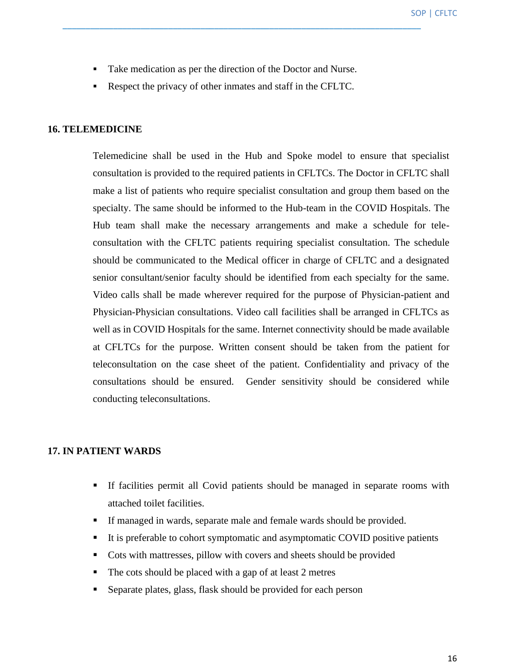Take medication as per the direction of the Doctor and Nurse.

\_\_\_\_\_\_\_\_\_\_\_\_\_\_\_\_\_\_\_\_\_\_\_\_\_\_\_\_\_\_\_\_\_\_\_\_\_\_\_\_\_\_\_\_\_\_\_\_\_\_\_\_\_\_\_\_\_\_\_\_\_\_\_\_\_\_\_\_\_\_\_\_\_\_\_\_\_\_

▪ Respect the privacy of other inmates and staff in the CFLTC.

#### **16. TELEMEDICINE**

Telemedicine shall be used in the Hub and Spoke model to ensure that specialist consultation is provided to the required patients in CFLTCs. The Doctor in CFLTC shall make a list of patients who require specialist consultation and group them based on the specialty. The same should be informed to the Hub-team in the COVID Hospitals. The Hub team shall make the necessary arrangements and make a schedule for teleconsultation with the CFLTC patients requiring specialist consultation. The schedule should be communicated to the Medical officer in charge of CFLTC and a designated senior consultant/senior faculty should be identified from each specialty for the same. Video calls shall be made wherever required for the purpose of Physician-patient and Physician-Physician consultations. Video call facilities shall be arranged in CFLTCs as well as in COVID Hospitals for the same. Internet connectivity should be made available at CFLTCs for the purpose. Written consent should be taken from the patient for teleconsultation on the case sheet of the patient. Confidentiality and privacy of the consultations should be ensured. Gender sensitivity should be considered while conducting teleconsultations.

#### **17. IN PATIENT WARDS**

- If facilities permit all Covid patients should be managed in separate rooms with attached toilet facilities.
- If managed in wards, separate male and female wards should be provided.
- It is preferable to cohort symptomatic and asymptomatic COVID positive patients
- Cots with mattresses, pillow with covers and sheets should be provided
- The cots should be placed with a gap of at least 2 metres
- Separate plates, glass, flask should be provided for each person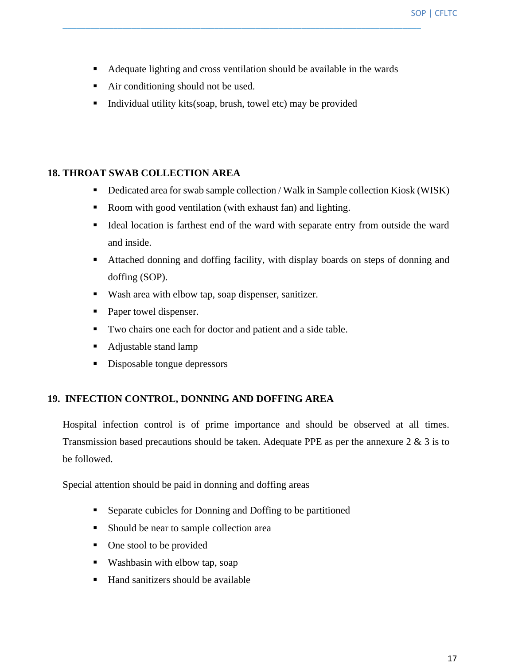■ Adequate lighting and cross ventilation should be available in the wards

\_\_\_\_\_\_\_\_\_\_\_\_\_\_\_\_\_\_\_\_\_\_\_\_\_\_\_\_\_\_\_\_\_\_\_\_\_\_\_\_\_\_\_\_\_\_\_\_\_\_\_\_\_\_\_\_\_\_\_\_\_\_\_\_\_\_\_\_\_\_\_\_\_\_\_\_\_\_

- Air conditioning should not be used.
- Individual utility kits(soap, brush, towel etc) may be provided

#### **18. THROAT SWAB COLLECTION AREA**

- Dedicated area for swab sample collection / Walk in Sample collection Kiosk (WISK)
- Room with good ventilation (with exhaust fan) and lighting.
- Ideal location is farthest end of the ward with separate entry from outside the ward and inside.
- Attached donning and doffing facility, with display boards on steps of donning and doffing (SOP).
- Wash area with elbow tap, soap dispenser, sanitizer.
- Paper towel dispenser.
- Two chairs one each for doctor and patient and a side table.
- Adjustable stand lamp
- Disposable tongue depressors

#### **19. INFECTION CONTROL, DONNING AND DOFFING AREA**

Hospital infection control is of prime importance and should be observed at all times. Transmission based precautions should be taken. Adequate PPE as per the annexure 2 & 3 is to be followed.

Special attention should be paid in donning and doffing areas

- Separate cubicles for Donning and Doffing to be partitioned
- Should be near to sample collection area
- One stool to be provided
- Washbasin with elbow tap, soap
- Hand sanitizers should be available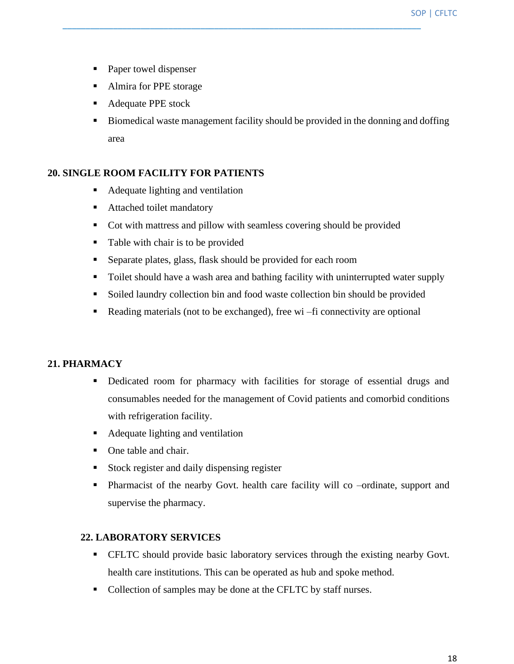- Paper towel dispenser
- Almira for PPE storage
- Adequate PPE stock
- Biomedical waste management facility should be provided in the donning and doffing area

#### **20. SINGLE ROOM FACILITY FOR PATIENTS**

- Adequate lighting and ventilation
- Attached toilet mandatory
- Cot with mattress and pillow with seamless covering should be provided

\_\_\_\_\_\_\_\_\_\_\_\_\_\_\_\_\_\_\_\_\_\_\_\_\_\_\_\_\_\_\_\_\_\_\_\_\_\_\_\_\_\_\_\_\_\_\_\_\_\_\_\_\_\_\_\_\_\_\_\_\_\_\_\_\_\_\_\_\_\_\_\_\_\_\_\_\_\_

- Table with chair is to be provided
- Separate plates, glass, flask should be provided for each room
- Toilet should have a wash area and bathing facility with uninterrupted water supply
- Soiled laundry collection bin and food waste collection bin should be provided
- Reading materials (not to be exchanged), free wi –fi connectivity are optional

#### **21. PHARMACY**

- Dedicated room for pharmacy with facilities for storage of essential drugs and consumables needed for the management of Covid patients and comorbid conditions with refrigeration facility.
- Adequate lighting and ventilation
- One table and chair.
- Stock register and daily dispensing register
- Pharmacist of the nearby Govt. health care facility will co –ordinate, support and supervise the pharmacy.

#### **22. LABORATORY SERVICES**

- **CFLTC** should provide basic laboratory services through the existing nearby Govt. health care institutions. This can be operated as hub and spoke method.
- Collection of samples may be done at the CFLTC by staff nurses.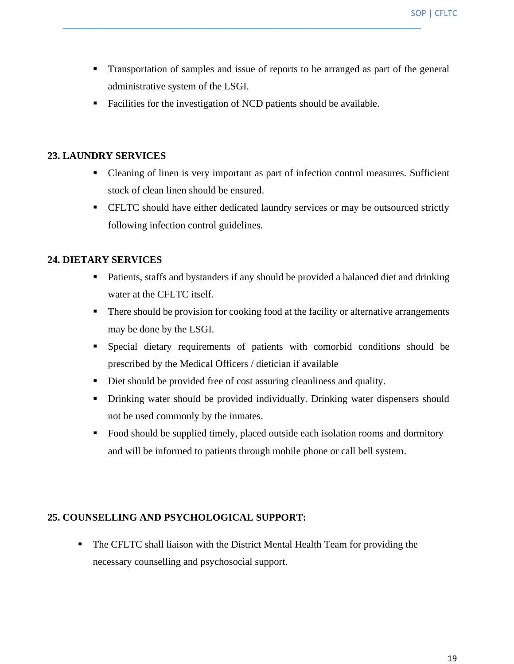- Transportation of samples and issue of reports to be arranged as part of the general administrative system of the LSGI.
- Facilities for the investigation of NCD patients should be available.

#### **23. LAUNDRY SERVICES**

- Cleaning of linen is very important as part of infection control measures. Sufficient stock of clean linen should be ensured.
- **EXEC Should have either dedicated laundry services or may be outsourced strictly** following infection control guidelines.

#### **24. DIETARY SERVICES**

- Patients, staffs and bystanders if any should be provided a balanced diet and drinking water at the CFLTC itself.
- There should be provision for cooking food at the facility or alternative arrangements may be done by the LSGI.
- Special dietary requirements of patients with comorbid conditions should be prescribed by the Medical Officers / dietician if available
- Diet should be provided free of cost assuring cleanliness and quality.
- **•** Drinking water should be provided individually. Drinking water dispensers should not be used commonly by the inmates.
- Food should be supplied timely, placed outside each isolation rooms and dormitory and will be informed to patients through mobile phone or call bell system.

#### **25. COUNSELLING AND PSYCHOLOGICAL SUPPORT:**

**• The CFLTC shall liaison with the District Mental Health Team for providing the** necessary counselling and psychosocial support.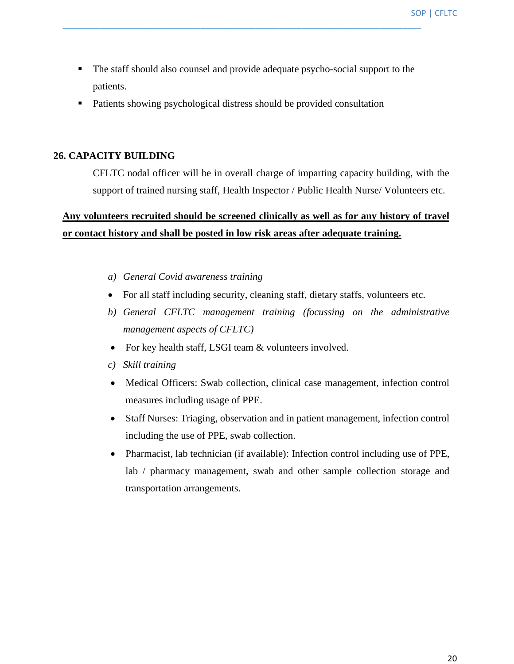SOP | CFLTC

■ The staff should also counsel and provide adequate psycho-social support to the patients.

\_\_\_\_\_\_\_\_\_\_\_\_\_\_\_\_\_\_\_\_\_\_\_\_\_\_\_\_\_\_\_\_\_\_\_\_\_\_\_\_\_\_\_\_\_\_\_\_\_\_\_\_\_\_\_\_\_\_\_\_\_\_\_\_\_\_\_\_\_\_\_\_\_\_\_\_\_\_

■ Patients showing psychological distress should be provided consultation

#### **26. CAPACITY BUILDING**

CFLTC nodal officer will be in overall charge of imparting capacity building, with the support of trained nursing staff, Health Inspector / Public Health Nurse/ Volunteers etc.

## **Any volunteers recruited should be screened clinically as well as for any history of travel or contact history and shall be posted in low risk areas after adequate training.**

- *a) General Covid awareness training*
- For all staff including security, cleaning staff, dietary staffs, volunteers etc.
- *b) General CFLTC management training (focussing on the administrative management aspects of CFLTC)*
- For key health staff, LSGI team & volunteers involved.
- *c) Skill training*
- Medical Officers: Swab collection, clinical case management, infection control measures including usage of PPE.
- Staff Nurses: Triaging, observation and in patient management, infection control including the use of PPE, swab collection.
- Pharmacist, lab technician (if available): Infection control including use of PPE, lab / pharmacy management, swab and other sample collection storage and transportation arrangements.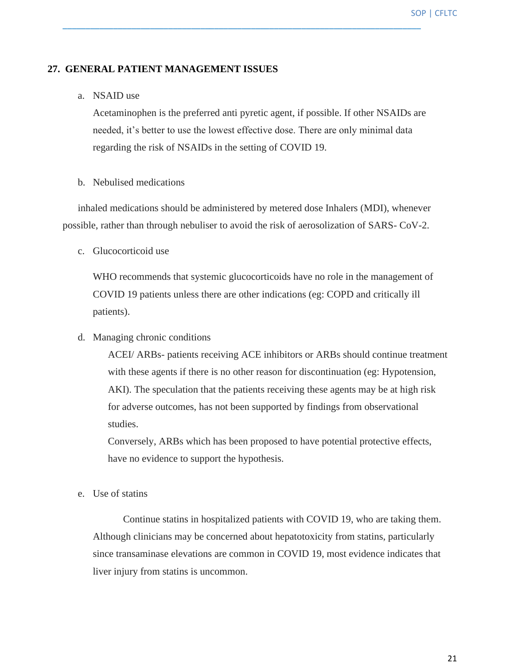#### **27. GENERAL PATIENT MANAGEMENT ISSUES**

#### a. NSAID use

Acetaminophen is the preferred anti pyretic agent, if possible. If other NSAIDs are needed, it's better to use the lowest effective dose. There are only minimal data regarding the risk of NSAIDs in the setting of COVID 19.

\_\_\_\_\_\_\_\_\_\_\_\_\_\_\_\_\_\_\_\_\_\_\_\_\_\_\_\_\_\_\_\_\_\_\_\_\_\_\_\_\_\_\_\_\_\_\_\_\_\_\_\_\_\_\_\_\_\_\_\_\_\_\_\_\_\_\_\_\_\_\_\_\_\_\_\_\_\_

#### b. Nebulised medications

inhaled medications should be administered by metered dose Inhalers (MDI), whenever possible, rather than through nebuliser to avoid the risk of aerosolization of SARS- CoV-2.

c. Glucocorticoid use

WHO recommends that systemic glucocorticoids have no role in the management of COVID 19 patients unless there are other indications (eg: COPD and critically ill patients).

d. Managing chronic conditions

ACEI/ ARBs- patients receiving ACE inhibitors or ARBs should continue treatment with these agents if there is no other reason for discontinuation (eg: Hypotension, AKI). The speculation that the patients receiving these agents may be at high risk for adverse outcomes, has not been supported by findings from observational studies.

Conversely, ARBs which has been proposed to have potential protective effects, have no evidence to support the hypothesis.

e. Use of statins

Continue statins in hospitalized patients with COVID 19, who are taking them. Although clinicians may be concerned about hepatotoxicity from statins, particularly since transaminase elevations are common in COVID 19, most evidence indicates that liver injury from statins is uncommon.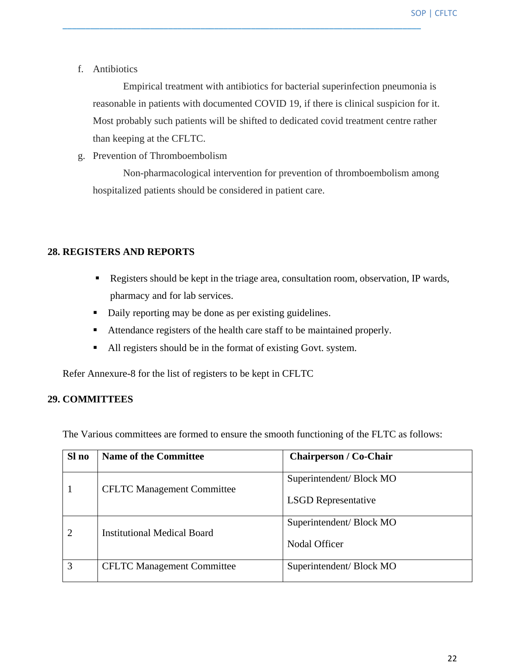f. Antibiotics

Empirical treatment with antibiotics for bacterial superinfection pneumonia is reasonable in patients with documented COVID 19, if there is clinical suspicion for it. Most probably such patients will be shifted to dedicated covid treatment centre rather than keeping at the CFLTC.

\_\_\_\_\_\_\_\_\_\_\_\_\_\_\_\_\_\_\_\_\_\_\_\_\_\_\_\_\_\_\_\_\_\_\_\_\_\_\_\_\_\_\_\_\_\_\_\_\_\_\_\_\_\_\_\_\_\_\_\_\_\_\_\_\_\_\_\_\_\_\_\_\_\_\_\_\_\_

g. Prevention of Thromboembolism

Non-pharmacological intervention for prevention of thromboembolism among hospitalized patients should be considered in patient care.

#### **28. REGISTERS AND REPORTS**

- Registers should be kept in the triage area, consultation room, observation, IP wards, pharmacy and for lab services.
- Daily reporting may be done as per existing guidelines.
- Attendance registers of the health care staff to be maintained properly.
- All registers should be in the format of existing Govt. system.

Refer Annexure-8 for the list of registers to be kept in CFLTC

#### **29. COMMITTEES**

The Various committees are formed to ensure the smooth functioning of the FLTC as follows:

| Sl no          | <b>Name of the Committee</b>      | <b>Chairperson / Co-Chair</b> |
|----------------|-----------------------------------|-------------------------------|
|                | <b>CFLTC</b> Management Committee | Superintendent/Block MO       |
|                |                                   | <b>LSGD</b> Representative    |
| $\overline{2}$ | Institutional Medical Board       | Superintendent/Block MO       |
|                |                                   | Nodal Officer                 |
| 3              | <b>CFLTC</b> Management Committee | Superintendent/Block MO       |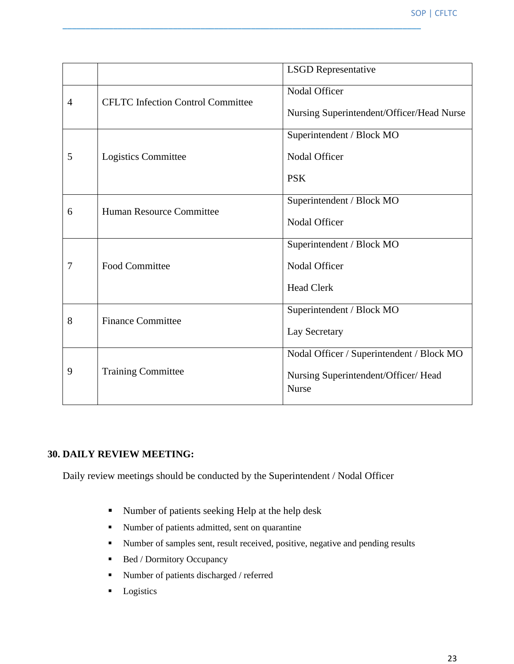|                |                                          | <b>LSGD</b> Representative                           |
|----------------|------------------------------------------|------------------------------------------------------|
| $\overline{4}$ | <b>CFLTC</b> Infection Control Committee | Nodal Officer                                        |
|                |                                          | Nursing Superintendent/Officer/Head Nurse            |
|                |                                          | Superintendent / Block MO                            |
| 5              | Logistics Committee                      | Nodal Officer                                        |
|                |                                          | <b>PSK</b>                                           |
| 6              | Human Resource Committee                 | Superintendent / Block MO                            |
|                |                                          | Nodal Officer                                        |
|                |                                          | Superintendent / Block MO                            |
| 7              | <b>Food Committee</b>                    | Nodal Officer                                        |
|                |                                          | <b>Head Clerk</b>                                    |
| 8              | <b>Finance Committee</b>                 | Superintendent / Block MO                            |
|                |                                          | Lay Secretary                                        |
|                |                                          | Nodal Officer / Superintendent / Block MO            |
| 9              | <b>Training Committee</b>                | Nursing Superintendent/Officer/ Head<br><b>Nurse</b> |

#### **30. DAILY REVIEW MEETING:**

Daily review meetings should be conducted by the Superintendent / Nodal Officer

- Number of patients seeking Help at the help desk
- Number of patients admitted, sent on quarantine
- Number of samples sent, result received, positive, negative and pending results
- Bed / Dormitory Occupancy
- Number of patients discharged / referred
- **•** Logistics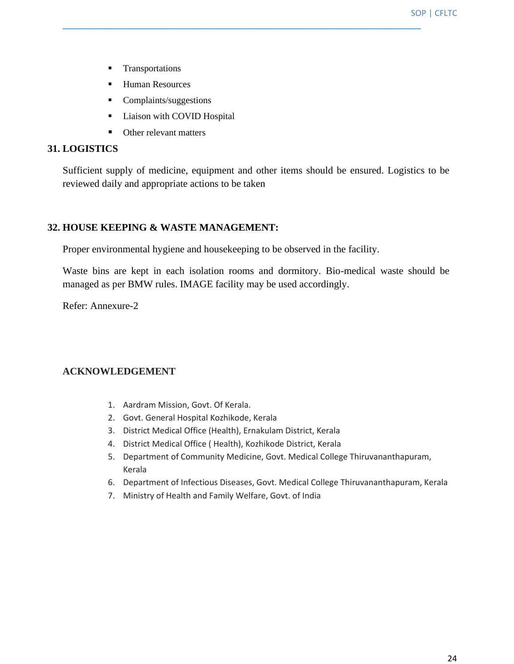- **·** Transportations
- Human Resources
- Complaints/suggestions
- **•** Liaison with COVID Hospital
- Other relevant matters

#### **31. LOGISTICS**

Sufficient supply of medicine, equipment and other items should be ensured. Logistics to be reviewed daily and appropriate actions to be taken

\_\_\_\_\_\_\_\_\_\_\_\_\_\_\_\_\_\_\_\_\_\_\_\_\_\_\_\_\_\_\_\_\_\_\_\_\_\_\_\_\_\_\_\_\_\_\_\_\_\_\_\_\_\_\_\_\_\_\_\_\_\_\_\_\_\_\_\_\_\_\_\_\_\_\_\_\_\_

#### **32. HOUSE KEEPING & WASTE MANAGEMENT:**

Proper environmental hygiene and housekeeping to be observed in the facility.

Waste bins are kept in each isolation rooms and dormitory. Bio-medical waste should be managed as per BMW rules. IMAGE facility may be used accordingly.

Refer: Annexure-2

#### **ACKNOWLEDGEMENT**

- 1. Aardram Mission, Govt. Of Kerala.
- 2. Govt. General Hospital Kozhikode, Kerala
- 3. District Medical Office (Health), Ernakulam District, Kerala
- 4. District Medical Office ( Health), Kozhikode District, Kerala
- 5. Department of Community Medicine, Govt. Medical College Thiruvananthapuram, Kerala
- 6. Department of Infectious Diseases, Govt. Medical College Thiruvananthapuram, Kerala
- 7. Ministry of Health and Family Welfare, Govt. of India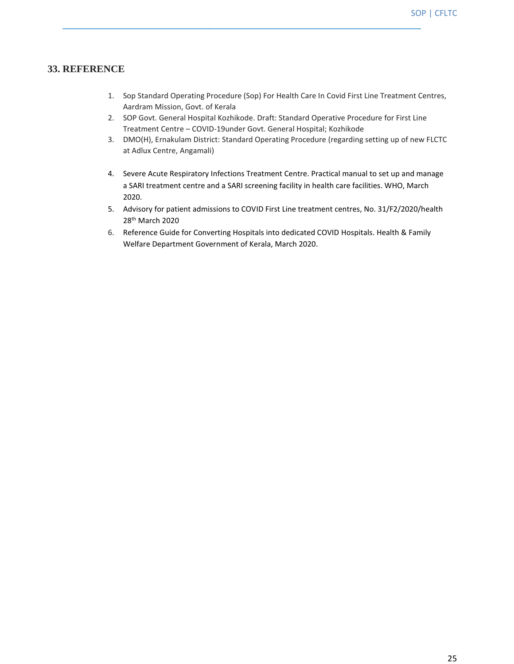#### **33. REFERENCE**

- 1. Sop Standard Operating Procedure (Sop) For Health Care In Covid First Line Treatment Centres, Aardram Mission, Govt. of Kerala
- 2. SOP Govt. General Hospital Kozhikode. Draft: Standard Operative Procedure for First Line Treatment Centre – COVID-19under Govt. General Hospital; Kozhikode

- 3. DMO(H), Ernakulam District: Standard Operating Procedure (regarding setting up of new FLCTC at Adlux Centre, Angamali)
- 4. Severe Acute Respiratory Infections Treatment Centre. Practical manual to set up and manage a SARI treatment centre and a SARI screening facility in health care facilities. WHO, March 2020.
- 5. Advisory for patient admissions to COVID First Line treatment centres, No. 31/F2/2020/health 28th March 2020
- 6. Reference Guide for Converting Hospitals into dedicated COVID Hospitals. Health & Family Welfare Department Government of Kerala, March 2020.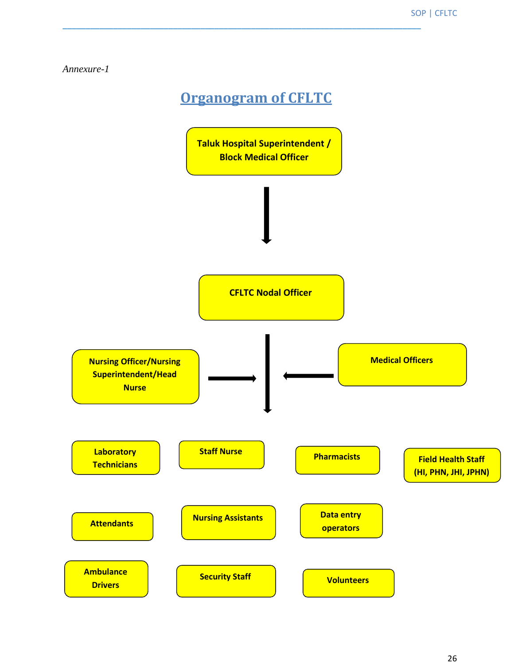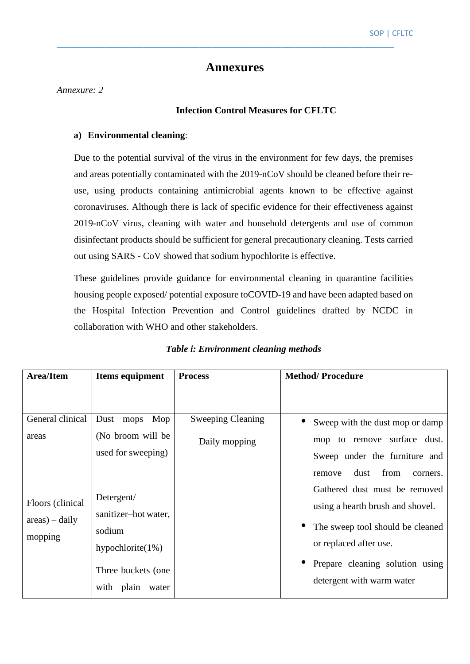#### **Annexures**

\_\_\_\_\_\_\_\_\_\_\_\_\_\_\_\_\_\_\_\_\_\_\_\_\_\_\_\_\_\_\_\_\_\_\_\_\_\_\_\_\_\_\_\_\_\_\_\_\_\_\_\_\_\_\_\_\_\_\_\_\_\_\_\_\_\_\_\_\_\_\_\_\_\_\_\_\_\_

*Annexure: 2*

#### **Infection Control Measures for CFLTC**

#### **a) Environmental cleaning**:

Due to the potential survival of the virus in the environment for few days, the premises and areas potentially contaminated with the 2019-nCoV should be cleaned before their reuse, using products containing antimicrobial agents known to be effective against coronaviruses. Although there is lack of specific evidence for their effectiveness against 2019-nCoV virus, cleaning with water and household detergents and use of common disinfectant products should be sufficient for general precautionary cleaning. Tests carried out using SARS - CoV showed that sodium hypochlorite is effective.

These guidelines provide guidance for environmental cleaning in quarantine facilities housing people exposed/ potential exposure toCOVID-19 and have been adapted based on the Hospital Infection Prevention and Control guidelines drafted by NCDC in collaboration with WHO and other stakeholders.

| Area/Item                 | Items equipment                            | <b>Process</b>           | <b>Method/Procedure</b>                                           |
|---------------------------|--------------------------------------------|--------------------------|-------------------------------------------------------------------|
|                           |                                            |                          |                                                                   |
| General clinical          | Mop<br>Dust mops                           | <b>Sweeping Cleaning</b> | Sweep with the dust mop or damp                                   |
| areas                     | (No broom will be                          | Daily mopping            | mop to remove surface dust.                                       |
|                           | used for sweeping)                         |                          | Sweep under the furniture and                                     |
|                           |                                            |                          | from<br>dust<br>remove<br>corners.                                |
| Floors (clinical          | Detergent/<br>sanitizer-hot water,         |                          | Gathered dust must be removed<br>using a hearth brush and shovel. |
| $area$ – daily<br>mopping | sodium<br>hypochlorite $(1%)$              |                          | The sweep tool should be cleaned<br>or replaced after use.        |
|                           | Three buckets (one)<br>with plain<br>water |                          | Prepare cleaning solution using<br>detergent with warm water      |

#### *Table i: Environment cleaning methods*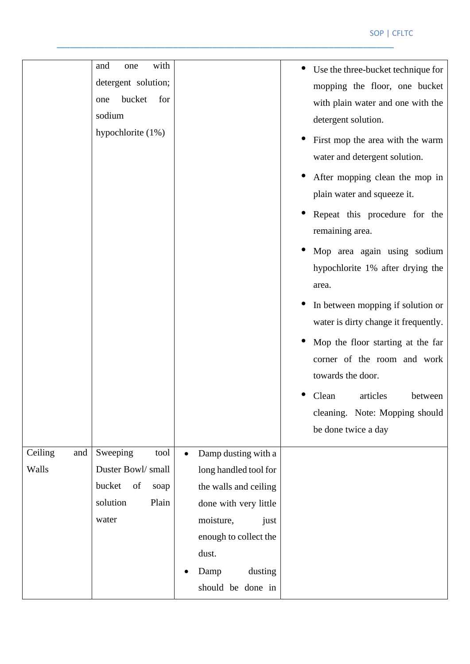|                         | with<br>and<br>one<br>detergent solution;<br>bucket<br>for<br>one<br>sodium<br>hypochlorite (1%) |                                                                                                                                                                                               | Use the three-bucket technique for<br>mopping the floor, one bucket<br>with plain water and one with the<br>detergent solution.<br>First mop the area with the warm<br>water and detergent solution.<br>After mopping clean the mop in<br>plain water and squeeze it.<br>Repeat this procedure for the<br>remaining area.<br>Mop area again using sodium<br>hypochlorite 1% after drying the<br>area.<br>In between mopping if solution or<br>water is dirty change it frequently.<br>Mop the floor starting at the far |
|-------------------------|--------------------------------------------------------------------------------------------------|-----------------------------------------------------------------------------------------------------------------------------------------------------------------------------------------------|-------------------------------------------------------------------------------------------------------------------------------------------------------------------------------------------------------------------------------------------------------------------------------------------------------------------------------------------------------------------------------------------------------------------------------------------------------------------------------------------------------------------------|
|                         |                                                                                                  |                                                                                                                                                                                               | articles<br>Clean<br>between<br>cleaning. Note: Mopping should<br>be done twice a day                                                                                                                                                                                                                                                                                                                                                                                                                                   |
| Ceiling<br>and<br>Walls | Sweeping<br>tool<br>Duster Bowl/small<br>bucket<br>of<br>soap<br>solution<br>Plain<br>water      | Damp dusting with a<br>long handled tool for<br>the walls and ceiling<br>done with very little<br>moisture,<br>just<br>enough to collect the<br>dust.<br>Damp<br>dusting<br>should be done in |                                                                                                                                                                                                                                                                                                                                                                                                                                                                                                                         |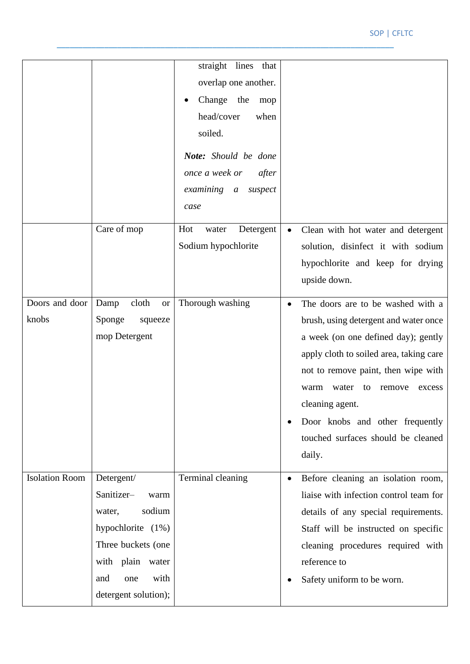#### SOP | CFLTC

|                         |                                                                                                                                                                     | straight lines that<br>overlap one another.<br>Change the<br>mop<br>head/cover<br>when<br>soiled.<br>Note: Should be done<br>once a week or<br>after<br>examining a<br>suspect<br>case |                                                                                                                                                                                                                                                                                                                                                   |
|-------------------------|---------------------------------------------------------------------------------------------------------------------------------------------------------------------|----------------------------------------------------------------------------------------------------------------------------------------------------------------------------------------|---------------------------------------------------------------------------------------------------------------------------------------------------------------------------------------------------------------------------------------------------------------------------------------------------------------------------------------------------|
|                         | Care of mop                                                                                                                                                         | Hot<br>Detergent<br>water<br>Sodium hypochlorite                                                                                                                                       | Clean with hot water and detergent<br>$\bullet$<br>solution, disinfect it with sodium<br>hypochlorite and keep for drying<br>upside down.                                                                                                                                                                                                         |
| Doors and door<br>knobs | Damp<br>cloth<br><b>or</b><br>Sponge<br>squeeze<br>mop Detergent                                                                                                    | Thorough washing                                                                                                                                                                       | The doors are to be washed with a<br>brush, using detergent and water once<br>a week (on one defined day); gently<br>apply cloth to soiled area, taking care<br>not to remove paint, then wipe with<br>water to<br>warm<br>remove<br>excess<br>cleaning agent.<br>Door knobs and other frequently<br>touched surfaces should be cleaned<br>daily. |
| <b>Isolation Room</b>   | Detergent/<br>Sanitizer-<br>warm<br>sodium<br>water,<br>hypochlorite $(1%)$<br>Three buckets (one<br>with plain water<br>with<br>and<br>one<br>detergent solution); | Terminal cleaning                                                                                                                                                                      | Before cleaning an isolation room,<br>liaise with infection control team for<br>details of any special requirements.<br>Staff will be instructed on specific<br>cleaning procedures required with<br>reference to<br>Safety uniform to be worn.                                                                                                   |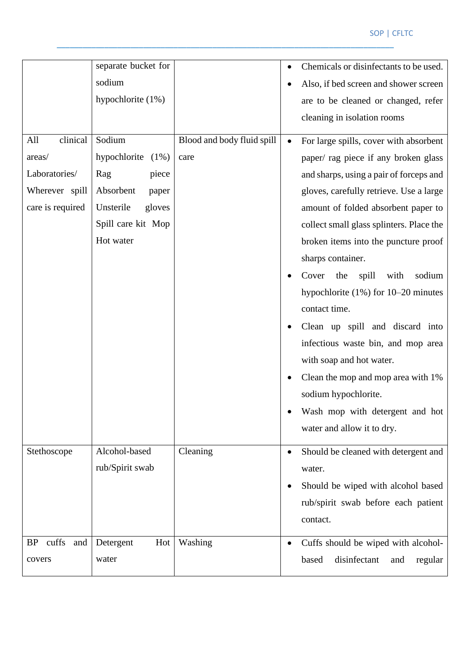#### SOP | CFLTC

|                    | separate bucket for     |                            |           | Chemicals or disinfectants to be used.   |
|--------------------|-------------------------|----------------------------|-----------|------------------------------------------|
|                    | sodium                  |                            |           | Also, if bed screen and shower screen    |
|                    | hypochlorite $(1%)$     |                            |           | are to be cleaned or changed, refer      |
|                    |                         |                            |           | cleaning in isolation rooms              |
| clinical<br>All    | Sodium                  | Blood and body fluid spill |           | For large spills, cover with absorbent   |
| areas/             | hypochlorite<br>$(1\%)$ | care                       |           | paper/ rag piece if any broken glass     |
| Laboratories/      | piece<br>Rag            |                            |           | and sharps, using a pair of forceps and  |
| Wherever spill     | Absorbent<br>paper      |                            |           | gloves, carefully retrieve. Use a large  |
| care is required   | Unsterile<br>gloves     |                            |           | amount of folded absorbent paper to      |
|                    | Spill care kit Mop      |                            |           | collect small glass splinters. Place the |
|                    | Hot water               |                            |           | broken items into the puncture proof     |
|                    |                         |                            |           | sharps container.                        |
|                    |                         |                            |           | spill<br>Cover<br>the<br>with<br>sodium  |
|                    |                         |                            |           | hypochlorite $(1\%)$ for 10–20 minutes   |
|                    |                         |                            |           | contact time.                            |
|                    |                         |                            |           | Clean up spill and discard into          |
|                    |                         |                            |           | infectious waste bin, and mop area       |
|                    |                         |                            |           | with soap and hot water.                 |
|                    |                         |                            |           | Clean the mop and mop area with 1%       |
|                    |                         |                            |           | sodium hypochlorite.                     |
|                    |                         |                            |           | Wash mop with detergent and hot          |
|                    |                         |                            |           | water and allow it to dry.               |
| Stethoscope        | Alcohol-based           | Cleaning                   | $\bullet$ | Should be cleaned with detergent and     |
|                    | rub/Spirit swab         |                            |           | water.                                   |
|                    |                         |                            |           | Should be wiped with alcohol based       |
|                    |                         |                            |           | rub/spirit swab before each patient      |
|                    |                         |                            |           | contact.                                 |
| cuffs<br>and<br>BP | Detergent<br>Hot        | Washing                    |           | Cuffs should be wiped with alcohol-      |
| covers             | water                   |                            |           | disinfectant<br>regular<br>based<br>and  |
|                    |                         |                            |           |                                          |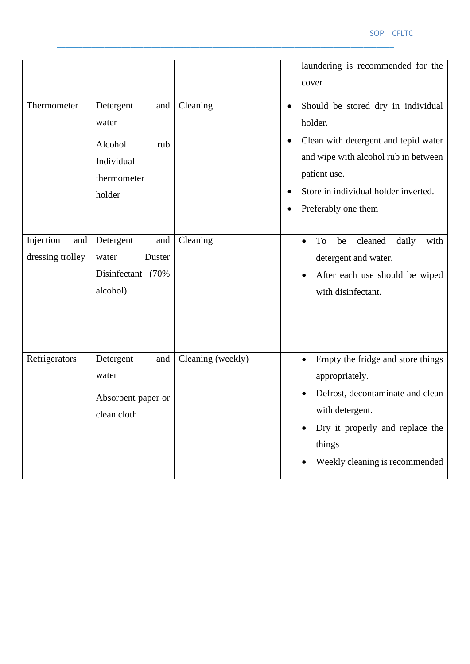|                                      |                                                                                    |                   | laundering is recommended for the<br>cover                                                                                                                                                                                             |
|--------------------------------------|------------------------------------------------------------------------------------|-------------------|----------------------------------------------------------------------------------------------------------------------------------------------------------------------------------------------------------------------------------------|
| Thermometer                          | Detergent<br>and<br>water<br>Alcohol<br>rub<br>Individual<br>thermometer<br>holder | Cleaning          | Should be stored dry in individual<br>$\bullet$<br>holder.<br>Clean with detergent and tepid water<br>and wipe with alcohol rub in between<br>patient use.<br>Store in individual holder inverted.<br>Preferably one them<br>$\bullet$ |
| Injection<br>and<br>dressing trolley | Detergent<br>and<br>Duster<br>water<br>Disinfectant (70%<br>alcohol)               | Cleaning          | cleaned<br>daily<br>To<br>with<br>be<br>detergent and water.<br>After each use should be wiped<br>with disinfectant.                                                                                                                   |
| Refrigerators                        | Detergent<br>and<br>water<br>Absorbent paper or<br>clean cloth                     | Cleaning (weekly) | Empty the fridge and store things<br>appropriately.<br>Defrost, decontaminate and clean<br>with detergent.<br>Dry it properly and replace the<br>things<br>Weekly cleaning is recommended<br>$\bullet$                                 |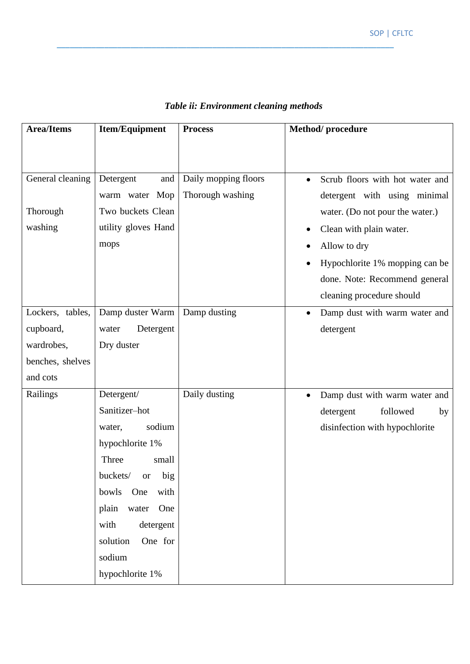| <b>Area/Items</b>                       | Item/Equipment                                                                                                                                                                                                                              | <b>Process</b>                           | Method/procedure                                                                                                                                                                                                                              |
|-----------------------------------------|---------------------------------------------------------------------------------------------------------------------------------------------------------------------------------------------------------------------------------------------|------------------------------------------|-----------------------------------------------------------------------------------------------------------------------------------------------------------------------------------------------------------------------------------------------|
|                                         |                                                                                                                                                                                                                                             |                                          |                                                                                                                                                                                                                                               |
| General cleaning<br>Thorough<br>washing | Detergent<br>and<br>warm water Mop<br>Two buckets Clean<br>utility gloves Hand<br>mops                                                                                                                                                      | Daily mopping floors<br>Thorough washing | Scrub floors with hot water and<br>detergent with using minimal<br>water. (Do not pour the water.)<br>Clean with plain water.<br>Allow to dry<br>Hypochlorite 1% mopping can be<br>done. Note: Recommend general<br>cleaning procedure should |
| Lockers, tables,                        | Damp duster Warm                                                                                                                                                                                                                            | Damp dusting                             | Damp dust with warm water and                                                                                                                                                                                                                 |
| cupboard,                               | Detergent<br>water                                                                                                                                                                                                                          |                                          | detergent                                                                                                                                                                                                                                     |
| wardrobes,                              | Dry duster                                                                                                                                                                                                                                  |                                          |                                                                                                                                                                                                                                               |
| benches, shelves                        |                                                                                                                                                                                                                                             |                                          |                                                                                                                                                                                                                                               |
| and cots                                |                                                                                                                                                                                                                                             |                                          |                                                                                                                                                                                                                                               |
| Railings                                | Detergent/<br>Sanitizer-hot<br>sodium<br>water,<br>hypochlorite 1%<br>Three<br>small<br>buckets/<br>big<br><b>or</b><br>bowls<br>One<br>with<br>plain<br>water One<br>with<br>detergent<br>One for<br>solution<br>sodium<br>hypochlorite 1% | Daily dusting                            | Damp dust with warm water and<br>$\bullet$<br>followed<br>detergent<br>by<br>disinfection with hypochlorite                                                                                                                                   |

### *Table ii: Environment cleaning methods*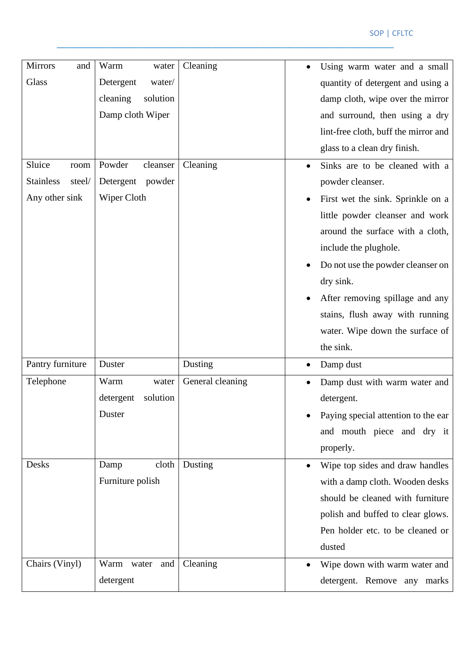| <b>Mirrors</b><br>and      | Warm<br>water         | Cleaning         | Using warm water and a small         |
|----------------------------|-----------------------|------------------|--------------------------------------|
| Glass                      | Detergent<br>water/   |                  | quantity of detergent and using a    |
|                            | cleaning<br>solution  |                  | damp cloth, wipe over the mirror     |
|                            | Damp cloth Wiper      |                  | and surround, then using a dry       |
|                            |                       |                  | lint-free cloth, buff the mirror and |
|                            |                       |                  | glass to a clean dry finish.         |
| Sluice<br>room             | Powder<br>cleanser    | Cleaning         |                                      |
| <b>Stainless</b><br>steel/ | Detergent<br>powder   |                  | Sinks are to be cleaned with a       |
|                            |                       |                  | powder cleanser.                     |
| Any other sink             | Wiper Cloth           |                  | First wet the sink. Sprinkle on a    |
|                            |                       |                  | little powder cleanser and work      |
|                            |                       |                  | around the surface with a cloth,     |
|                            |                       |                  | include the plughole.                |
|                            |                       |                  | Do not use the powder cleanser on    |
|                            |                       |                  | dry sink.                            |
|                            |                       |                  | After removing spillage and any      |
|                            |                       |                  | stains, flush away with running      |
|                            |                       |                  | water. Wipe down the surface of      |
|                            |                       |                  | the sink.                            |
| Pantry furniture           | Duster                | Dusting          | Damp dust                            |
| Telephone                  | Warm<br>water         | General cleaning | Damp dust with warm water and        |
|                            | solution<br>detergent |                  | detergent.                           |
|                            | Duster                |                  | Paying special attention to the ear  |
|                            |                       |                  | and mouth piece and dry it           |
|                            |                       |                  | properly.                            |
| Desks                      | cloth<br>Damp         | Dusting          | Wipe top sides and draw handles      |
|                            | Furniture polish      |                  | with a damp cloth. Wooden desks      |
|                            |                       |                  | should be cleaned with furniture     |
|                            |                       |                  | polish and buffed to clear glows.    |
|                            |                       |                  | Pen holder etc. to be cleaned or     |
|                            |                       |                  | dusted                               |
| Chairs (Vinyl)             |                       |                  |                                      |
|                            | Warm<br>and<br>water  | Cleaning         | Wipe down with warm water and        |
|                            | detergent             |                  | detergent. Remove any marks          |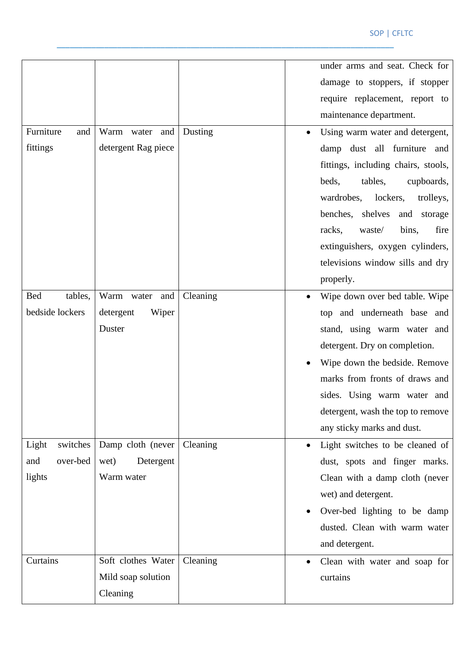|                   |                     |          |           | under arms and seat. Check for      |
|-------------------|---------------------|----------|-----------|-------------------------------------|
|                   |                     |          |           | damage to stoppers, if stopper      |
|                   |                     |          |           | require replacement, report to      |
|                   |                     |          |           | maintenance department.             |
| Furniture<br>and  | Warm water and      | Dusting  |           | Using warm water and detergent,     |
| fittings          | detergent Rag piece |          |           | damp dust all furniture and         |
|                   |                     |          |           | fittings, including chairs, stools, |
|                   |                     |          |           | beds,<br>tables,<br>cupboards,      |
|                   |                     |          |           | wardrobes,<br>lockers,<br>trolleys, |
|                   |                     |          |           | benches, shelves<br>and storage     |
|                   |                     |          |           | fire<br>racks,<br>waste/<br>bins,   |
|                   |                     |          |           | extinguishers, oxygen cylinders,    |
|                   |                     |          |           | televisions window sills and dry    |
|                   |                     |          |           | properly.                           |
| tables,<br>Bed    | Warm water and      | Cleaning |           | Wipe down over bed table. Wipe      |
| bedside lockers   | detergent<br>Wiper  |          |           | top and underneath base and         |
|                   | Duster              |          |           | stand, using warm water and         |
|                   |                     |          |           | detergent. Dry on completion.       |
|                   |                     |          |           | Wipe down the bedside. Remove       |
|                   |                     |          |           | marks from fronts of draws and      |
|                   |                     |          |           | sides. Using warm water and         |
|                   |                     |          |           | detergent, wash the top to remove   |
|                   |                     |          |           | any sticky marks and dust.          |
| switches<br>Light | Damp cloth (never   | Cleaning |           | Light switches to be cleaned of     |
| over-bed<br>and   | Detergent<br>wet)   |          |           | dust, spots and finger marks.       |
| lights            | Warm water          |          |           | Clean with a damp cloth (never      |
|                   |                     |          |           | wet) and detergent.                 |
|                   |                     |          |           | Over-bed lighting to be damp        |
|                   |                     |          |           | dusted. Clean with warm water       |
|                   |                     |          |           | and detergent.                      |
| Curtains          | Soft clothes Water  | Cleaning | $\bullet$ | Clean with water and soap for       |
|                   | Mild soap solution  |          |           | curtains                            |
|                   | Cleaning            |          |           |                                     |
|                   |                     |          |           |                                     |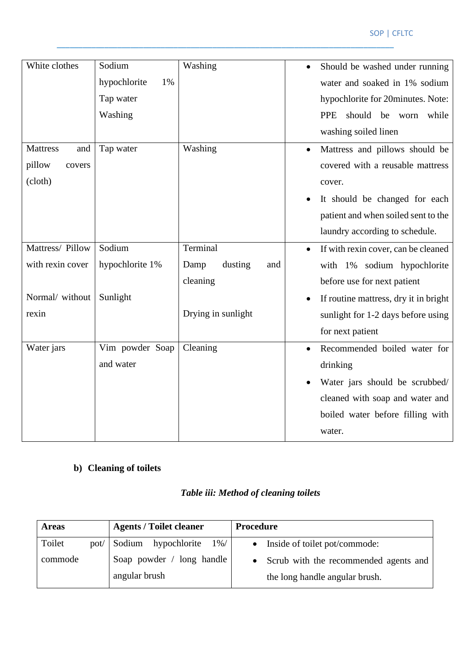| White clothes          | Sodium             | Washing                | Should be washed under running        |
|------------------------|--------------------|------------------------|---------------------------------------|
|                        | hypochlorite<br>1% |                        | water and soaked in 1% sodium         |
|                        | Tap water          |                        | hypochlorite for 20minutes. Note:     |
|                        | Washing            |                        | should be worn<br><b>PPE</b><br>while |
|                        |                    |                        | washing soiled linen                  |
| <b>Mattress</b><br>and | Tap water          | Washing                | Mattress and pillows should be        |
| pillow<br>covers       |                    |                        | covered with a reusable mattress      |
| (cloth)                |                    |                        | cover.                                |
|                        |                    |                        | It should be changed for each         |
|                        |                    |                        | patient and when soiled sent to the   |
|                        |                    |                        | laundry according to schedule.        |
| Mattress/ Pillow       | Sodium             | Terminal               | If with rexin cover, can be cleaned   |
| with rexin cover       | hypochlorite 1%    | dusting<br>Damp<br>and | with 1% sodium hypochlorite           |
|                        |                    | cleaning               | before use for next patient           |
| Normal/ without        | Sunlight           |                        | If routine mattress, dry it in bright |
| rexin                  |                    | Drying in sunlight     | sunlight for 1-2 days before using    |
|                        |                    |                        | for next patient                      |
| Water jars             | Vim powder Soap    | Cleaning               | Recommended boiled water for          |
|                        | and water          |                        | drinking                              |
|                        |                    |                        | Water jars should be scrubbed/        |
|                        |                    |                        | cleaned with soap and water and       |
|                        |                    |                        | boiled water before filling with      |
|                        |                    |                        | water.                                |
|                        |                    |                        |                                       |

## **b) Cleaning of toilets**

## *Table iii: Method of cleaning toilets*

| <b>Areas</b> | <b>Agents / Toilet cleaner</b>             | Procedure                                                                 |
|--------------|--------------------------------------------|---------------------------------------------------------------------------|
| Toilet       | pot/ Sodium hypochlorite<br>$1\%$ /        | • Inside of toilet pot/commode:                                           |
| commode      | Soap powder / long handle<br>angular brush | • Scrub with the recommended agents and<br>the long handle angular brush. |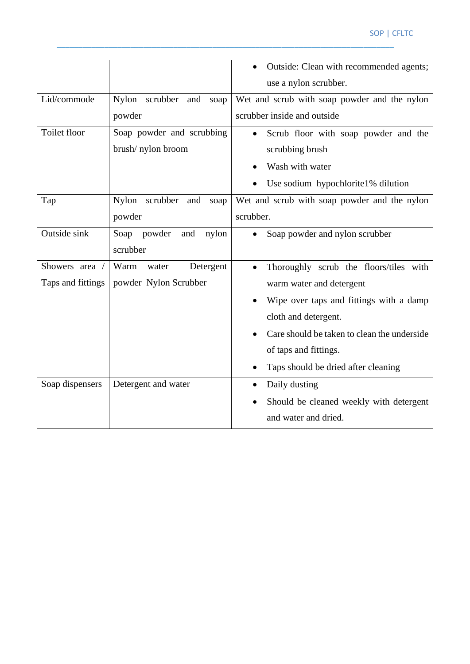#### SOP | CFLTC

|                   |                                | Outside: Clean with recommended agents;             |
|-------------------|--------------------------------|-----------------------------------------------------|
|                   |                                | use a nylon scrubber.                               |
| Lid/commode       | Nylon scrubber<br>and<br>soap  | Wet and scrub with soap powder and the nylon        |
|                   | powder                         | scrubber inside and outside                         |
| Toilet floor      | Soap powder and scrubbing      | Scrub floor with soap powder and the<br>$\bullet$   |
|                   | brush/nylon broom              | scrubbing brush                                     |
|                   |                                | Wash with water                                     |
|                   |                                | Use sodium hypochlorite1% dilution                  |
| Tap               | Nylon scrubber<br>and<br>soap  | Wet and scrub with soap powder and the nylon        |
|                   | powder                         | scrubber.                                           |
| Outside sink      | powder<br>Soap<br>and<br>nylon | Soap powder and nylon scrubber                      |
|                   | scrubber                       |                                                     |
| Showers area /    | Warm<br>Detergent<br>water     | Thoroughly scrub the floors/tiles with<br>$\bullet$ |
| Taps and fittings | powder Nylon Scrubber          | warm water and detergent                            |
|                   |                                | Wipe over taps and fittings with a damp             |
|                   |                                | cloth and detergent.                                |
|                   |                                | Care should be taken to clean the underside         |
|                   |                                | of taps and fittings.                               |
|                   |                                | Taps should be dried after cleaning                 |
| Soap dispensers   | Detergent and water            | Daily dusting<br>$\bullet$                          |
|                   |                                | Should be cleaned weekly with detergent             |
|                   |                                | and water and dried.                                |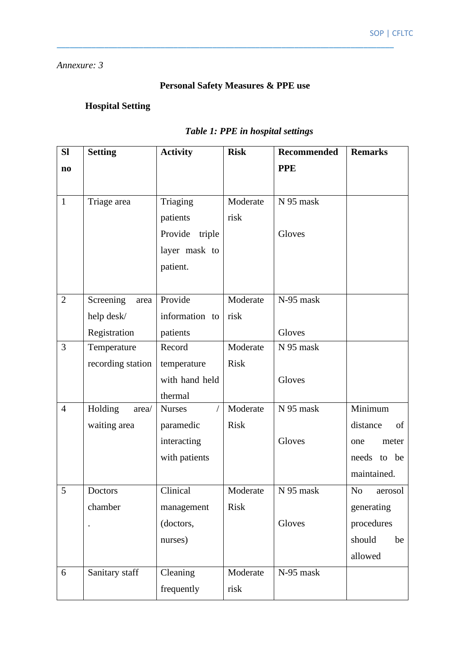#### *Annexure: 3*

## **Personal Safety Measures & PPE use**

\_\_\_\_\_\_\_\_\_\_\_\_\_\_\_\_\_\_\_\_\_\_\_\_\_\_\_\_\_\_\_\_\_\_\_\_\_\_\_\_\_\_\_\_\_\_\_\_\_\_\_\_\_\_\_\_\_\_\_\_\_\_\_\_\_\_\_\_\_\_\_\_\_\_\_\_\_\_

## **Hospital Setting**

## *Table 1: PPE in hospital settings*

| <b>SI</b>              | <b>Setting</b>    | <b>Activity</b>             | <b>Risk</b> | <b>Recommended</b> | <b>Remarks</b>            |
|------------------------|-------------------|-----------------------------|-------------|--------------------|---------------------------|
| $\mathbf{n}\mathbf{o}$ |                   |                             |             | <b>PPE</b>         |                           |
|                        |                   |                             |             |                    |                           |
| $\mathbf{1}$           | Triage area       | Triaging                    | Moderate    | N 95 mask          |                           |
|                        |                   | patients                    | risk        |                    |                           |
|                        |                   | Provide<br>triple           |             | Gloves             |                           |
|                        |                   | layer mask to               |             |                    |                           |
|                        |                   | patient.                    |             |                    |                           |
|                        |                   |                             |             |                    |                           |
| $\overline{2}$         | Screening<br>area | Provide                     | Moderate    | N-95 mask          |                           |
|                        | help desk/        | information to              | risk        |                    |                           |
|                        | Registration      | patients                    |             | Gloves             |                           |
| 3                      | Temperature       | Record                      | Moderate    | N 95 mask          |                           |
|                        | recording station | temperature                 | <b>Risk</b> |                    |                           |
|                        |                   | with hand held              |             | Gloves             |                           |
|                        |                   | thermal                     |             |                    |                           |
| $\overline{4}$         | Holding<br>area/  | <b>Nurses</b><br>$\sqrt{2}$ | Moderate    | N 95 mask          | Minimum                   |
|                        | waiting area      | paramedic                   | <b>Risk</b> |                    | of<br>distance            |
|                        |                   | interacting                 |             | Gloves             | meter<br>one              |
|                        |                   | with patients               |             |                    | needs to be               |
|                        |                   |                             |             |                    | maintained.               |
| 5                      | Doctors           | Clinical                    | Moderate    | N 95 mask          | N <sub>o</sub><br>aerosol |
|                        | chamber           | management                  | <b>Risk</b> |                    | generating                |
|                        | $\cdot$           | (doctors,                   |             | Gloves             | procedures                |
|                        |                   | nurses)                     |             |                    | should<br>be              |
|                        |                   |                             |             |                    | allowed                   |
| 6                      | Sanitary staff    | Cleaning                    | Moderate    | N-95 mask          |                           |
|                        |                   | frequently                  | risk        |                    |                           |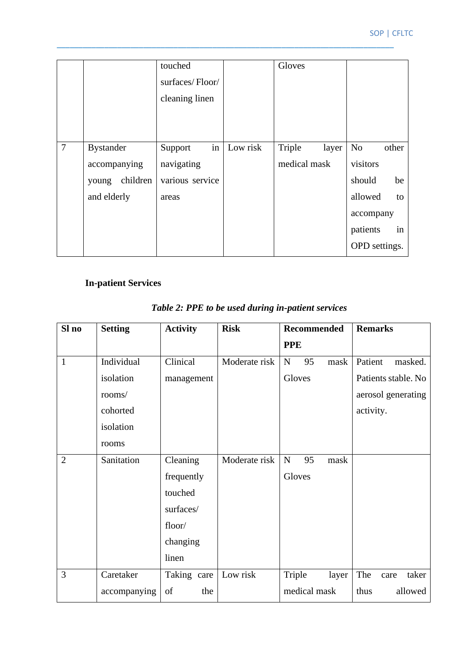|                |                   | touched<br>surfaces/Floor/<br>cleaning linen |          | Gloves          |                         |
|----------------|-------------------|----------------------------------------------|----------|-----------------|-------------------------|
| $\overline{7}$ | <b>Bystander</b>  | in<br>Support                                | Low risk | Triple<br>layer | N <sub>o</sub><br>other |
|                | accompanying      | navigating                                   |          | medical mask    | visitors                |
|                | children<br>young | various service                              |          |                 | should<br>be            |
|                | and elderly       | areas                                        |          |                 | allowed<br>to           |
|                |                   |                                              |          |                 | accompany               |
|                |                   |                                              |          |                 | in<br>patients          |
|                |                   |                                              |          |                 | OPD settings.           |

## **In-patient Services**

| Sl no          | <b>Setting</b> | <b>Activity</b> | <b>Risk</b>   | <b>Recommended</b>      | <b>Remarks</b>       |
|----------------|----------------|-----------------|---------------|-------------------------|----------------------|
|                |                |                 |               | <b>PPE</b>              |                      |
| $\mathbf{1}$   | Individual     | Clinical        | Moderate risk | 95<br>${\bf N}$<br>mask | Patient<br>masked.   |
|                | isolation      | management      |               | Gloves                  | Patients stable. No  |
|                | rooms/         |                 |               |                         | aerosol generating   |
|                | cohorted       |                 |               |                         | activity.            |
|                | isolation      |                 |               |                         |                      |
|                | rooms          |                 |               |                         |                      |
| $\overline{2}$ | Sanitation     | Cleaning        | Moderate risk | 95<br>${\bf N}$<br>mask |                      |
|                |                | frequently      |               | Gloves                  |                      |
|                |                | touched         |               |                         |                      |
|                |                | surfaces/       |               |                         |                      |
|                |                | floor/          |               |                         |                      |
|                |                | changing        |               |                         |                      |
|                |                | linen           |               |                         |                      |
| 3              | Caretaker      | Taking care     | Low risk      | Triple<br>layer         | The<br>taker<br>care |
|                | accompanying   | of<br>the       |               | medical mask            | thus<br>allowed      |

## *Table 2: PPE to be used during in-patient services*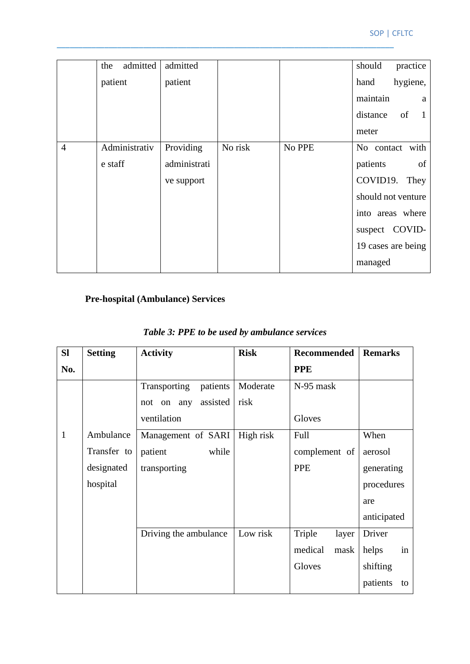|                | admitted<br>the | admitted     |         |        | should<br>practice  |
|----------------|-----------------|--------------|---------|--------|---------------------|
|                | patient         | patient      |         |        | hygiene,<br>hand    |
|                |                 |              |         |        | maintain<br>a       |
|                |                 |              |         |        | of<br>distance<br>1 |
|                |                 |              |         |        | meter               |
| $\overline{4}$ | Administrativ   | Providing    | No risk | No PPE | No contact with     |
|                | e staff         | administrati |         |        | patients<br>of      |
|                |                 | ve support   |         |        | COVID19.<br>They    |
|                |                 |              |         |        | should not venture  |
|                |                 |              |         |        | into areas where    |
|                |                 |              |         |        | suspect COVID-      |
|                |                 |              |         |        | 19 cases are being  |
|                |                 |              |         |        | managed             |

## **Pre-hospital (Ambulance) Services**

| <b>SI</b>    | <b>Setting</b> | <b>Activity</b>           | <b>Risk</b> | <b>Recommended</b> | <b>Remarks</b> |
|--------------|----------------|---------------------------|-------------|--------------------|----------------|
| No.          |                |                           |             | <b>PPE</b>         |                |
|              |                | patients<br>Transporting  | Moderate    | N-95 mask          |                |
|              |                | assisted<br>any<br>not on | risk        |                    |                |
|              |                | ventilation               |             | Gloves             |                |
| $\mathbf{1}$ | Ambulance      | Management of SARI        | High risk   | Full               | When           |
|              | Transfer to    | while<br>patient          |             | complement of      | aerosol        |
|              | designated     | transporting              |             | <b>PPE</b>         | generating     |
|              | hospital       |                           |             |                    | procedures     |
|              |                |                           |             |                    | are            |
|              |                |                           |             |                    | anticipated    |
|              |                | Driving the ambulance     | Low risk    | Triple<br>layer    | Driver         |
|              |                |                           |             | medical<br>mask    | helps<br>in    |
|              |                |                           |             | Gloves             | shifting       |
|              |                |                           |             |                    | patients<br>to |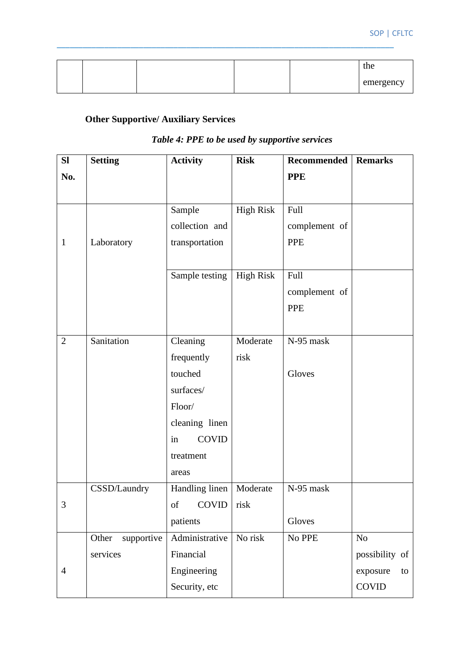|  |  | the       |
|--|--|-----------|
|  |  | emergency |

## **Other Supportive/ Auxiliary Services**

## *Table 4: PPE to be used by supportive services*

| <b>SI</b>      | <b>Setting</b>      | <b>Activity</b>           | <b>Risk</b>      | Recommended   | <b>Remarks</b> |
|----------------|---------------------|---------------------------|------------------|---------------|----------------|
| No.            |                     |                           |                  | <b>PPE</b>    |                |
|                |                     |                           |                  |               |                |
|                |                     | Sample                    | <b>High Risk</b> | Full          |                |
|                |                     | collection and            |                  | complement of |                |
| $\mathbf{1}$   | Laboratory          | transportation            |                  | <b>PPE</b>    |                |
|                |                     |                           |                  |               |                |
|                |                     | Sample testing            | <b>High Risk</b> | Full          |                |
|                |                     |                           |                  | complement of |                |
|                |                     |                           |                  | <b>PPE</b>    |                |
|                |                     |                           |                  |               |                |
| $\overline{2}$ | Sanitation          | Cleaning                  | Moderate         | N-95 mask     |                |
|                |                     | frequently                | risk             |               |                |
|                |                     | touched                   |                  | Gloves        |                |
|                |                     | surfaces/                 |                  |               |                |
|                |                     | Floor/                    |                  |               |                |
|                |                     | cleaning linen            |                  |               |                |
|                |                     | <b>COVID</b><br>in        |                  |               |                |
|                |                     | treatment                 |                  |               |                |
|                |                     | areas                     |                  |               |                |
|                | CSSD/Laundry        | Handling linen   Moderate |                  | N-95 mask     |                |
| $\mathfrak{Z}$ |                     | of $COVID$ risk           |                  |               |                |
|                |                     | patients                  |                  | Gloves        |                |
|                | Other<br>supportive | Administrative            | No risk          | No PPE        | N <sub>o</sub> |
|                | services            | Financial                 |                  |               | possibility of |
| $\overline{4}$ |                     | Engineering               |                  |               | exposure<br>to |
|                |                     | Security, etc             |                  |               | <b>COVID</b>   |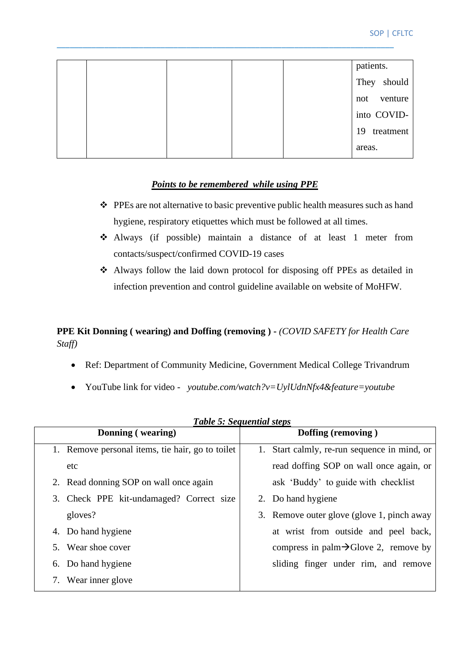|  |  | patients.       |
|--|--|-----------------|
|  |  | They should     |
|  |  | venture<br>not  |
|  |  | into COVID-     |
|  |  | 19<br>treatment |
|  |  | areas.          |
|  |  |                 |

#### *Points to be remembered while using PPE*

- ❖ PPEs are not alternative to basic preventive public health measures such as hand hygiene, respiratory etiquettes which must be followed at all times.
- ❖ Always (if possible) maintain a distance of at least 1 meter from contacts/suspect/confirmed COVID-19 cases
- ❖ Always follow the laid down protocol for disposing off PPEs as detailed in infection prevention and control guideline available on website of MoHFW.

#### **PPE Kit Donning ( wearing) and Doffing (removing ) -** *(COVID SAFETY for Health Care Staff)*

- Ref: Department of Community Medicine, Government Medical College Trivandrum
- YouTube link for video  *youtube.com/watch?v=UylUdnNfx4&feature=youtube*

| Donning (wearing)                                | Tubic 9. Deguenium sieps<br>Doffing (removing)    |
|--------------------------------------------------|---------------------------------------------------|
| 1. Remove personal items, tie hair, go to toilet | Start calmly, re-run sequence in mind, or         |
| etc                                              | read doffing SOP on wall once again, or           |
| 2. Read donning SOP on wall once again           | ask 'Buddy' to guide with checklist               |
| 3. Check PPE kit-undamaged? Correct size         | 2. Do hand hygiene                                |
| gloves?                                          | 3. Remove outer glove (glove 1, pinch away        |
| 4. Do hand hygiene                               | at wrist from outside and peel back,              |
| 5. Wear shoe cover                               | compress in palm $\rightarrow$ Glove 2, remove by |
| 6. Do hand hygiene                               | sliding finger under rim, and remove              |
| Wear inner glove<br>7.                           |                                                   |

*Table 5: Sequential steps*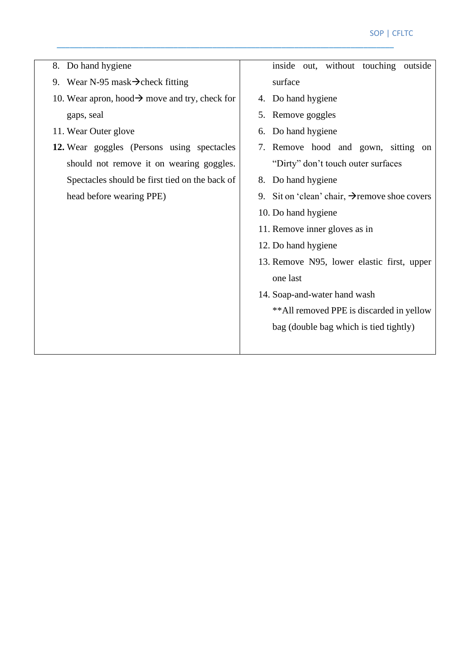| 8. Do hand hygiene                                         | inside out, without touching outside                      |
|------------------------------------------------------------|-----------------------------------------------------------|
| 9. Wear N-95 mask $\rightarrow$ check fitting              | surface                                                   |
| 10. Wear apron, hood $\rightarrow$ move and try, check for | 4. Do hand hygiene                                        |
| gaps, seal                                                 | 5. Remove goggles                                         |
| 11. Wear Outer glove                                       | 6. Do hand hygiene                                        |
| 12. Wear goggles (Persons using spectacles                 | Remove hood and gown, sitting on<br>7.                    |
| should not remove it on wearing goggles.                   | "Dirty" don't touch outer surfaces                        |
| Spectacles should be first tied on the back of             | 8. Do hand hygiene                                        |
| head before wearing PPE)                                   | 9. Sit on 'clean' chair, $\rightarrow$ remove shoe covers |
|                                                            | 10. Do hand hygiene                                       |
|                                                            | 11. Remove inner gloves as in                             |
|                                                            | 12. Do hand hygiene                                       |
|                                                            | 13. Remove N95, lower elastic first, upper                |
|                                                            | one last                                                  |
|                                                            | 14. Soap-and-water hand wash                              |
|                                                            | ** All removed PPE is discarded in yellow                 |
|                                                            | bag (double bag which is tied tightly)                    |
|                                                            |                                                           |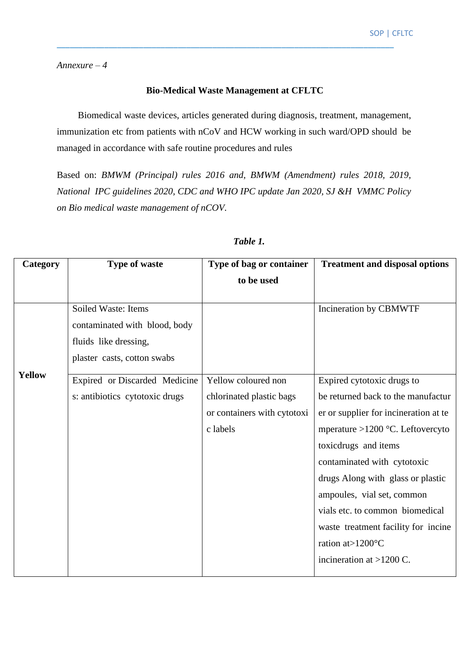*Annexure – 4*

#### **Bio-Medical Waste Management at CFLTC**

\_\_\_\_\_\_\_\_\_\_\_\_\_\_\_\_\_\_\_\_\_\_\_\_\_\_\_\_\_\_\_\_\_\_\_\_\_\_\_\_\_\_\_\_\_\_\_\_\_\_\_\_\_\_\_\_\_\_\_\_\_\_\_\_\_\_\_\_\_\_\_\_\_\_\_\_\_\_

Biomedical waste devices, articles generated during diagnosis, treatment, management, immunization etc from patients with nCoV and HCW working in such ward/OPD should be managed in accordance with safe routine procedures and rules

Based on: *BMWM (Principal) rules 2016 and, BMWM (Amendment) rules 2018, 2019, National IPC guidelines 2020, CDC and WHO IPC update Jan 2020, SJ &H VMMC Policy on Bio medical waste management of nCOV.*

| Category      | <b>Type of waste</b>           | Type of bag or container    | <b>Treatment and disposal options</b> |
|---------------|--------------------------------|-----------------------------|---------------------------------------|
|               |                                | to be used                  |                                       |
|               |                                |                             |                                       |
|               | Soiled Waste: Items            |                             | Incineration by CBMWTF                |
|               | contaminated with blood, body  |                             |                                       |
|               | fluids like dressing,          |                             |                                       |
|               | plaster casts, cotton swabs    |                             |                                       |
| <b>Yellow</b> | Expired or Discarded Medicine  | Yellow coloured non         | Expired cytotoxic drugs to            |
|               | s: antibiotics cytotoxic drugs | chlorinated plastic bags    | be returned back to the manufactur    |
|               |                                | or containers with cytotoxi | er or supplier for incineration at te |
|               |                                | c labels                    | mperature >1200 °C. Leftovercyto      |
|               |                                |                             | toxicdrugs and items                  |
|               |                                |                             | contaminated with cytotoxic           |
|               |                                |                             | drugs Along with glass or plastic     |
|               |                                |                             | ampoules, vial set, common            |
|               |                                |                             | vials etc. to common biomedical       |
|               |                                |                             | waste treatment facility for incine   |
|               |                                |                             | ration at >1200°C                     |
|               |                                |                             | incineration at $>1200$ C.            |
|               |                                |                             |                                       |

#### *Table 1.*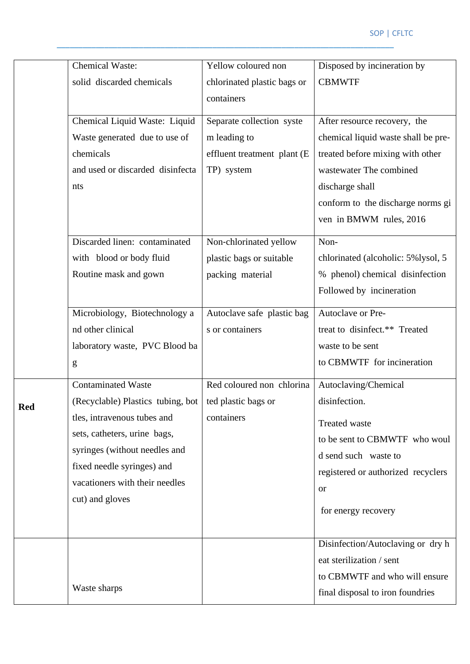|            | <b>Chemical Waste:</b>            | Yellow coloured non         | Disposed by incineration by         |
|------------|-----------------------------------|-----------------------------|-------------------------------------|
|            | solid discarded chemicals         | chlorinated plastic bags or | <b>CBMWTF</b>                       |
|            |                                   | containers                  |                                     |
|            |                                   |                             |                                     |
|            | Chemical Liquid Waste: Liquid     | Separate collection syste   | After resource recovery, the        |
|            | Waste generated due to use of     | m leading to                | chemical liquid waste shall be pre- |
|            | chemicals                         | effluent treatment plant (E | treated before mixing with other    |
|            | and used or discarded disinfecta  | TP) system                  | wastewater The combined             |
|            | nts                               |                             | discharge shall                     |
|            |                                   |                             | conform to the discharge norms gi   |
|            |                                   |                             | ven in BMWM rules, 2016             |
|            |                                   |                             |                                     |
|            | Discarded linen: contaminated     | Non-chlorinated yellow      | Non-                                |
|            | with blood or body fluid          | plastic bags or suitable    | chlorinated (alcoholic: 5%lysol, 5  |
|            | Routine mask and gown             | packing material            | % phenol) chemical disinfection     |
|            |                                   |                             | Followed by incineration            |
|            | Microbiology, Biotechnology a     | Autoclave safe plastic bag  | Autoclave or Pre-                   |
|            | nd other clinical                 | s or containers             | treat to disinfect.** Treated       |
|            | laboratory waste, PVC Blood ba    |                             | waste to be sent                    |
|            | g                                 |                             | to CBMWTF for incineration          |
|            | <b>Contaminated Waste</b>         | Red coloured non chlorina   | Autoclaving/Chemical                |
| <b>Red</b> | (Recyclable) Plastics tubing, bot | ted plastic bags or         | disinfection.                       |
|            | tles, intravenous tubes and       | containers                  | Treated waste                       |
|            | sets, catheters, urine bags,      |                             |                                     |
|            | syringes (without needles and     |                             | to be sent to CBMWTF who woul       |
|            | fixed needle syringes) and        |                             | d send such waste to                |
|            | vacationers with their needles    |                             | registered or authorized recyclers  |
|            | cut) and gloves                   |                             | <b>or</b>                           |
|            |                                   |                             | for energy recovery                 |
|            |                                   |                             |                                     |
|            |                                   |                             | Disinfection/Autoclaving or dry h   |
|            |                                   |                             | eat sterilization / sent            |
|            |                                   |                             | to CBMWTF and who will ensure       |
|            |                                   |                             |                                     |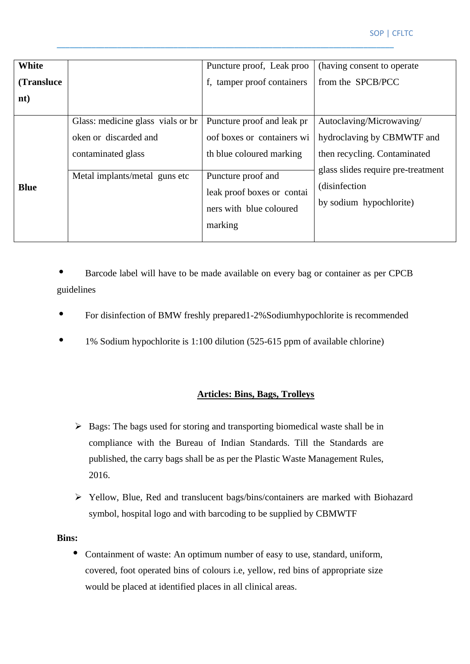| White       |                                                                                                                   | Puncture proof, Leak proo                                                                                                                                                      | (having consent to operate)                                                                                                                                               |
|-------------|-------------------------------------------------------------------------------------------------------------------|--------------------------------------------------------------------------------------------------------------------------------------------------------------------------------|---------------------------------------------------------------------------------------------------------------------------------------------------------------------------|
| (Transluce) |                                                                                                                   | f, tamper proof containers                                                                                                                                                     | from the SPCB/PCC                                                                                                                                                         |
| nt)         |                                                                                                                   |                                                                                                                                                                                |                                                                                                                                                                           |
| <b>Blue</b> | Glass: medicine glass vials or br<br>oken or discarded and<br>contaminated glass<br>Metal implants/metal guns etc | Puncture proof and leak pr<br>oof boxes or containers wi<br>th blue coloured marking<br>Puncture proof and<br>leak proof boxes or contai<br>ners with blue coloured<br>marking | Autoclaving/Microwaving/<br>hydroclaving by CBMWTF and<br>then recycling. Contaminated<br>glass slides require pre-treatment<br>(disinfection)<br>by sodium hypochlorite) |

• Barcode label will have to be made available on every bag or container as per CPCB guidelines

- For disinfection of BMW freshly prepared1-2%Sodiumhypochlorite is recommended
- 1% Sodium hypochlorite is 1:100 dilution (525-615 ppm of available chlorine)

#### **Articles: Bins, Bags, Trolleys**

- ➢ Bags: The bags used for storing and transporting biomedical waste shall be in compliance with the Bureau of Indian Standards. Till the Standards are published, the carry bags shall be as per the Plastic Waste Management Rules, 2016.
- ➢ Yellow, Blue, Red and translucent bags/bins/containers are marked with Biohazard symbol, hospital logo and with barcoding to be supplied by CBMWTF

#### **Bins:**

• Containment of waste: An optimum number of easy to use, standard, uniform, covered, foot operated bins of colours i.e, yellow, red bins of appropriate size would be placed at identified places in all clinical areas.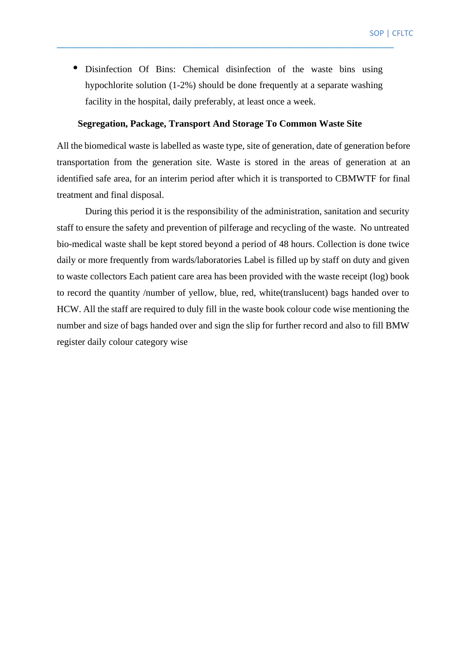Disinfection Of Bins: Chemical disinfection of the waste bins using hypochlorite solution (1-2%) should be done frequently at a separate washing facility in the hospital, daily preferably, at least once a week.

\_\_\_\_\_\_\_\_\_\_\_\_\_\_\_\_\_\_\_\_\_\_\_\_\_\_\_\_\_\_\_\_\_\_\_\_\_\_\_\_\_\_\_\_\_\_\_\_\_\_\_\_\_\_\_\_\_\_\_\_\_\_\_\_\_\_\_\_\_\_\_\_\_\_\_\_\_\_

#### **Segregation, Package, Transport And Storage To Common Waste Site**

All the biomedical waste is labelled as waste type, site of generation, date of generation before transportation from the generation site. Waste is stored in the areas of generation at an identified safe area, for an interim period after which it is transported to CBMWTF for final treatment and final disposal.

During this period it is the responsibility of the administration, sanitation and security staff to ensure the safety and prevention of pilferage and recycling of the waste. No untreated bio-medical waste shall be kept stored beyond a period of 48 hours. Collection is done twice daily or more frequently from wards/laboratories Label is filled up by staff on duty and given to waste collectors Each patient care area has been provided with the waste receipt (log) book to record the quantity /number of yellow, blue, red, white(translucent) bags handed over to HCW. All the staff are required to duly fill in the waste book colour code wise mentioning the number and size of bags handed over and sign the slip for further record and also to fill BMW register daily colour category wise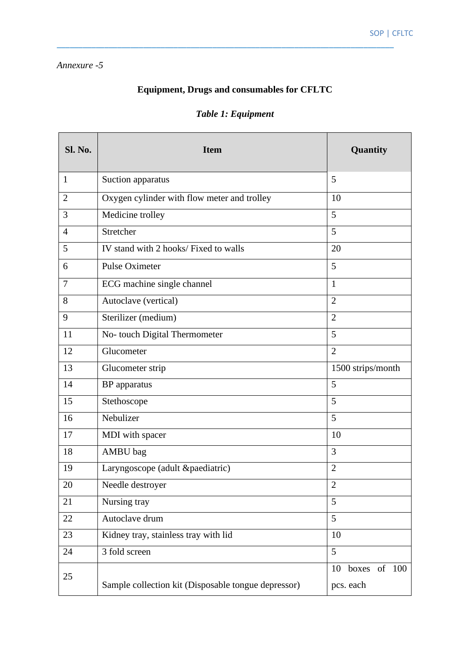#### *Annexure -5*

## **Equipment, Drugs and consumables for CFLTC**

\_\_\_\_\_\_\_\_\_\_\_\_\_\_\_\_\_\_\_\_\_\_\_\_\_\_\_\_\_\_\_\_\_\_\_\_\_\_\_\_\_\_\_\_\_\_\_\_\_\_\_\_\_\_\_\_\_\_\_\_\_\_\_\_\_\_\_\_\_\_\_\_\_\_\_\_\_\_

| Sl. No.        | <b>Item</b>                                         | Quantity                        |
|----------------|-----------------------------------------------------|---------------------------------|
| $\mathbf{1}$   | Suction apparatus                                   | 5                               |
| 2              | Oxygen cylinder with flow meter and trolley         | 10                              |
| 3              | Medicine trolley                                    | 5                               |
| $\overline{A}$ | Stretcher                                           | 5                               |
| 5              | IV stand with 2 hooks/ Fixed to walls               | 20                              |
| 6              | <b>Pulse Oximeter</b>                               | 5                               |
| 7              | ECG machine single channel                          | $\mathbf{1}$                    |
| 8              | Autoclave (vertical)                                | $\overline{2}$                  |
| 9              | Sterilizer (medium)                                 | $\overline{2}$                  |
| 11             | No- touch Digital Thermometer                       | 5                               |
| 12             | Glucometer                                          | $\overline{2}$                  |
| 13             | Glucometer strip                                    | 1500 strips/month               |
| 14             | <b>BP</b> apparatus                                 | 5                               |
| 15             | Stethoscope                                         | 5                               |
| 16             | Nebulizer                                           | 5                               |
| 17             | MDI with spacer                                     | 10                              |
| 18             | AMBU bag                                            | 3                               |
| 19             | Laryngoscope (adult &paediatric)                    | $\overline{2}$                  |
| 20             | Needle destroyer                                    | $\overline{2}$                  |
| 21             | Nursing tray                                        | 5                               |
| 22             | Autoclave drum                                      | 5                               |
| 23             | Kidney tray, stainless tray with lid                | 10                              |
| 24             | 3 fold screen                                       | 5                               |
| 25             | Sample collection kit (Disposable tongue depressor) | boxes of 100<br>10<br>pcs. each |

## *Table 1: Equipment*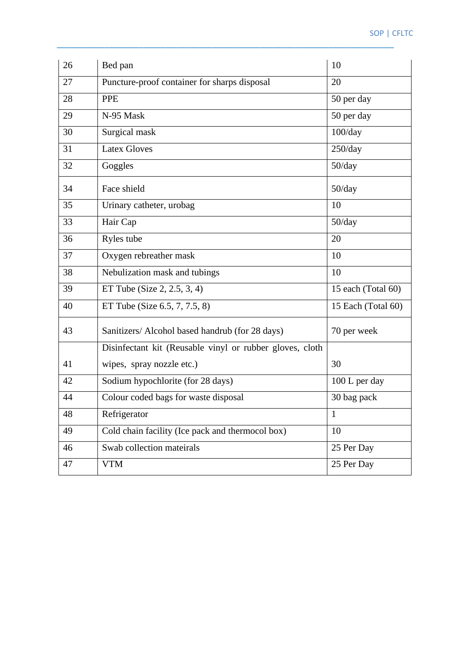| 26 | Bed pan                                                  | 10                 |
|----|----------------------------------------------------------|--------------------|
| 27 | Puncture-proof container for sharps disposal             | 20                 |
| 28 | <b>PPE</b>                                               | 50 per day         |
| 29 | N-95 Mask                                                | 50 per day         |
| 30 | Surgical mask                                            | 100/day            |
| 31 | <b>Latex Gloves</b>                                      | 250/day            |
| 32 | Goggles                                                  | 50/day             |
| 34 | Face shield                                              | 50/day             |
| 35 | Urinary catheter, urobag                                 | 10                 |
| 33 | Hair Cap                                                 | 50/day             |
| 36 | Ryles tube                                               | 20                 |
| 37 | Oxygen rebreather mask                                   | 10                 |
| 38 | Nebulization mask and tubings                            | 10                 |
| 39 | ET Tube (Size $2, 2.5, 3, 4$ )                           | 15 each (Total 60) |
| 40 | ET Tube (Size 6.5, 7, 7.5, 8)                            | 15 Each (Total 60) |
| 43 | Sanitizers/ Alcohol based handrub (for 28 days)          | 70 per week        |
|    | Disinfectant kit (Reusable vinyl or rubber gloves, cloth |                    |
| 41 | wipes, spray nozzle etc.)                                | 30                 |
| 42 | Sodium hypochlorite (for 28 days)                        | 100 L per day      |
| 44 | Colour coded bags for waste disposal                     | 30 bag pack        |
| 48 | Refrigerator                                             | 1                  |
| 49 | Cold chain facility (Ice pack and thermocol box)         | 10                 |
| 46 | Swab collection mateirals                                | 25 Per Day         |
| 47 | <b>VTM</b>                                               | 25 Per Day         |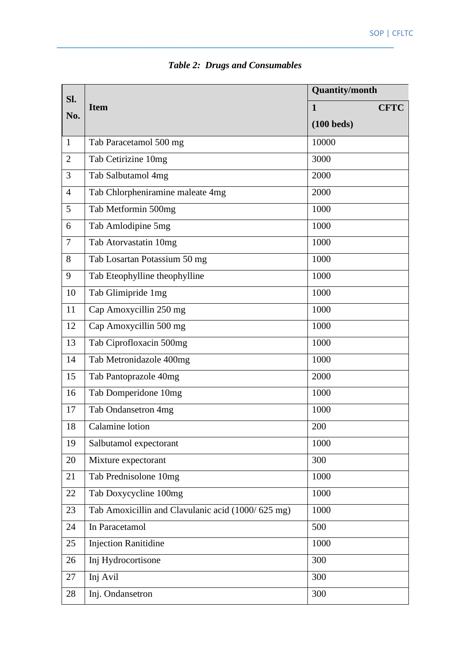| Sl.            | <b>Item</b>                                       | <b>Quantity/month</b>       |  |
|----------------|---------------------------------------------------|-----------------------------|--|
| No.            |                                                   | <b>CFTC</b><br>$\mathbf{1}$ |  |
|                |                                                   | $(100$ beds)                |  |
| $\mathbf{1}$   | Tab Paracetamol 500 mg                            | 10000                       |  |
| $\overline{2}$ | Tab Cetirizine 10mg                               | 3000                        |  |
| 3              | Tab Salbutamol 4mg                                | 2000                        |  |
| $\overline{4}$ | Tab Chlorpheniramine maleate 4mg                  | 2000                        |  |
| 5              | Tab Metformin 500mg                               | 1000                        |  |
| 6              | Tab Amlodipine 5mg                                | 1000                        |  |
| $\overline{7}$ | Tab Atorvastatin 10mg                             | 1000                        |  |
| 8              | Tab Losartan Potassium 50 mg                      | 1000                        |  |
| 9              | Tab Eteophylline theophylline                     | 1000                        |  |
| 10             | Tab Glimipride 1mg                                | 1000                        |  |
| 11             | Cap Amoxycillin 250 mg                            | 1000                        |  |
| 12             | Cap Amoxycillin 500 mg                            | 1000                        |  |
| 13             | Tab Ciprofloxacin 500mg                           | 1000                        |  |
| 14             | Tab Metronidazole 400mg                           | 1000                        |  |
| 15             | Tab Pantoprazole 40mg                             | 2000                        |  |
| 16             | Tab Domperidone 10mg                              | 1000                        |  |
| 17             | Tab Ondansetron 4mg                               | 1000                        |  |
| 18             | Calamine lotion                                   | 200                         |  |
| 19             | Salbutamol expectorant                            | 1000                        |  |
| 20             | Mixture expectorant                               | 300                         |  |
| 21             | Tab Prednisolone 10mg                             | 1000                        |  |
| 22             | Tab Doxycycline 100mg                             | 1000                        |  |
| 23             | Tab Amoxicillin and Clavulanic acid (1000/625 mg) | 1000                        |  |
| 24             | In Paracetamol                                    | 500                         |  |
| 25             | <b>Injection Ranitidine</b>                       | 1000                        |  |
| 26             | Inj Hydrocortisone                                | 300                         |  |
| 27             | Inj Avil                                          | 300                         |  |
| 28             | Inj. Ondansetron                                  | 300                         |  |

## *Table 2: Drugs and Consumables*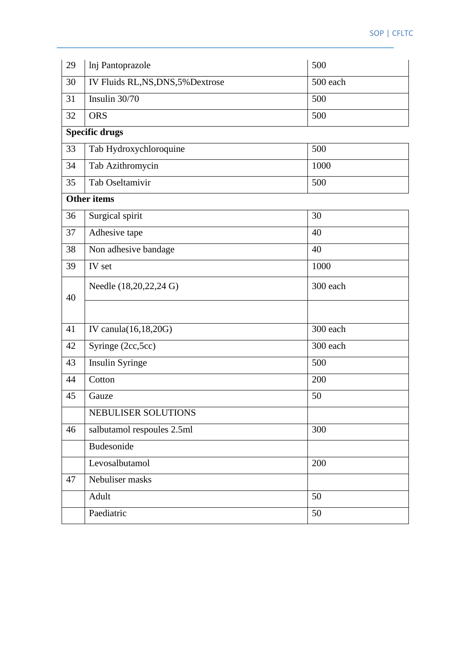| 29 | Inj Pantoprazole                   | 500      |
|----|------------------------------------|----------|
| 30 | IV Fluids RL, NS, DNS, 5% Dextrose | 500 each |
| 31 | Insulin 30/70                      | 500      |
| 32 | <b>ORS</b>                         | 500      |
|    | <b>Specific drugs</b>              |          |
| 33 | Tab Hydroxychloroquine             | 500      |
| 34 | Tab Azithromycin                   | 1000     |
| 35 | Tab Oseltamivir                    | 500      |
|    | <b>Other items</b>                 |          |
| 36 | Surgical spirit                    | 30       |
| 37 | Adhesive tape                      | 40       |
| 38 | Non adhesive bandage               | 40       |
| 39 | IV set                             | 1000     |
|    | Needle (18,20,22,24 G)             | 300 each |
| 40 |                                    |          |
|    |                                    |          |
| 41 | IV canula(16,18,20G)               | 300 each |
| 42 | Syringe (2cc, 5cc)                 | 300 each |
| 43 | Insulin Syringe                    | 500      |
| 44 | Cotton                             | 200      |
| 45 | Gauze                              | 50       |
|    | NEBULISER SOLUTIONS                |          |
| 46 | salbutamol respoules 2.5ml         | 300      |
|    | Budesonide                         |          |
|    | Levosalbutamol                     | 200      |
| 47 | Nebuliser masks                    |          |
|    | Adult                              | 50       |
|    | Paediatric                         | 50       |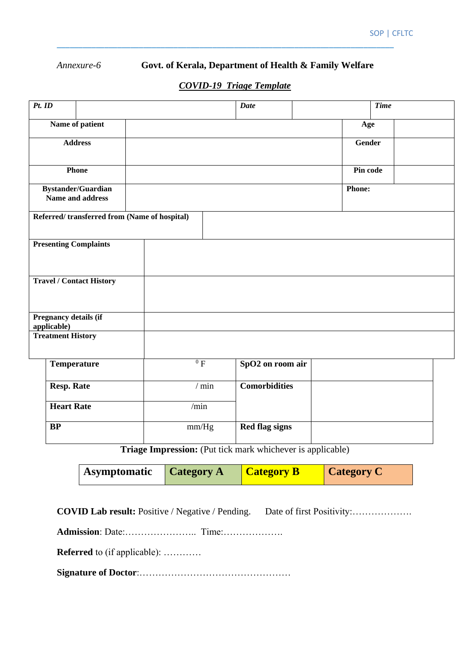#### *Annexure-6* **Govt. of Kerala, Department of Health & Family Welfare**

### *COVID-19 Triage Template*

\_\_\_\_\_\_\_\_\_\_\_\_\_\_\_\_\_\_\_\_\_\_\_\_\_\_\_\_\_\_\_\_\_\_\_\_\_\_\_\_\_\_\_\_\_\_\_\_\_\_\_\_\_\_\_\_\_\_\_\_\_\_\_\_\_\_\_\_\_\_\_\_\_\_\_\_\_\_

| $Pt.$ ID                        |                                              |         | <b>Date</b>           |               | <b>Time</b> |  |
|---------------------------------|----------------------------------------------|---------|-----------------------|---------------|-------------|--|
|                                 | Name of patient                              |         |                       | Age           |             |  |
|                                 | <b>Address</b>                               |         |                       | <b>Gender</b> |             |  |
|                                 | Phone                                        |         |                       | Pin code      |             |  |
|                                 | Bystander/Guardian<br>Name and address       |         |                       | <b>Phone:</b> |             |  |
|                                 | Referred/transferred from (Name of hospital) |         |                       |               |             |  |
|                                 | <b>Presenting Complaints</b>                 |         |                       |               |             |  |
| <b>Travel / Contact History</b> |                                              |         |                       |               |             |  |
| applicable)                     | Pregnancy details (if                        |         |                       |               |             |  |
|                                 | <b>Treatment History</b>                     |         |                       |               |             |  |
|                                 | <b>Temperature</b>                           | $^{0}F$ | SpO2 on room air      |               |             |  |
|                                 | <b>Resp. Rate</b>                            | $/$ min | <b>Comorbidities</b>  |               |             |  |
|                                 | <b>Heart Rate</b>                            | /min    |                       |               |             |  |
|                                 | BP                                           | mm/Hg   | <b>Red flag signs</b> |               |             |  |

**Triage Impression:** (Put tick mark whichever is applicable)

| <b>Asymptomatic Category A</b> | <b>Category B</b> | Category C |
|--------------------------------|-------------------|------------|
|                                |                   |            |

**COVID Lab result:** Positive / Negative / Pending. Date of first Positivity:……………….

**Admission**: Date:………………….. Time:……………….

**Referred** to (if applicable): …………

**Signature of Doctor**:…………………………………………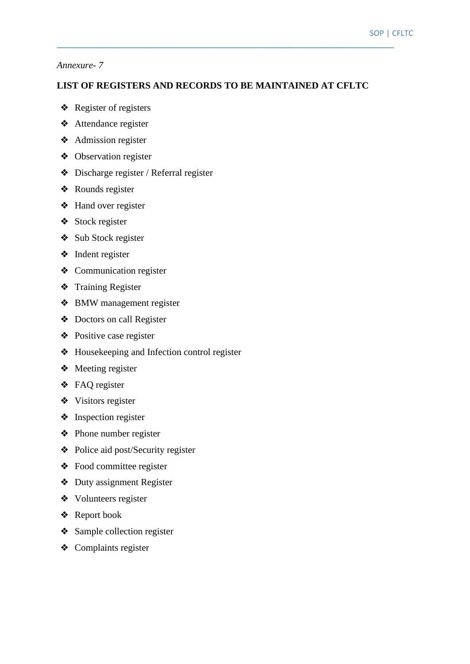#### *Annexure- 7*

#### **LIST OF REGISTERS AND RECORDS TO BE MAINTAINED AT CFLTC**

- ❖ Register of registers
- ❖ Attendance register
- ❖ Admission register
- ❖ Observation register
- ❖ Discharge register / Referral register
- ❖ Rounds register
- ❖ Hand over register
- ❖ Stock register
- ❖ Sub Stock register
- ❖ Indent register
- ❖ Communication register
- ❖ Training Register
- ❖ BMW management register
- ❖ Doctors on call Register
- ❖ Positive case register
- ❖ Housekeeping and Infection control register
- ❖ Meeting register
- ❖ FAQ register
- ❖ Visitors register
- ❖ Inspection register
- ❖ Phone number register
- ❖ Police aid post/Security register
- ❖ Food committee register
- ❖ Duty assignment Register
- ❖ Volunteers register
- ❖ Report book
- ❖ Sample collection register
- ❖ Complaints register